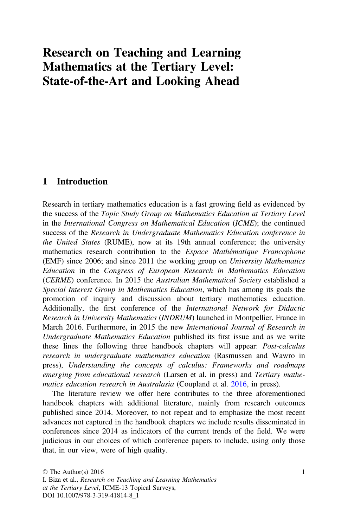# Research on Teaching and Learning Mathematics at the Tertiary Level: State-of-the-Art and Looking Ahead

# 1 Introduction

Research in tertiary mathematics education is a fast growing field as evidenced by the success of the Topic Study Group on Mathematics Education at Tertiary Level in the International Congress on Mathematical Education (ICME); the continued success of the Research in Undergraduate Mathematics Education conference in the United States (RUME), now at its 19th annual conference; the university mathematics research contribution to the Espace Mathématique Francophone (EMF) since 2006; and since 2011 the working group on University Mathematics Education in the Congress of European Research in Mathematics Education (CERME) conference. In 2015 the Australian Mathematical Society established a Special Interest Group in Mathematics Education, which has among its goals the promotion of inquiry and discussion about tertiary mathematics education. Additionally, the first conference of the International Network for Didactic Research in University Mathematics (INDRUM) launched in Montpellier, France in March 2016. Furthermore, in 2015 the new International Journal of Research in Undergraduate Mathematics Education published its first issue and as we write these lines the following three handbook chapters will appear: Post-calculus research in undergraduate mathematics education (Rasmussen and Wawro in press), Understanding the concepts of calculus: Frameworks and roadmaps emerging from educational research (Larsen et al. in press) and Tertiary mathe-matics education research in Australasia (Coupland et al. [2016,](#page-25-0) in press).

The literature review we offer here contributes to the three aforementioned handbook chapters with additional literature, mainly from research outcomes published since 2014. Moreover, to not repeat and to emphasize the most recent advances not captured in the handbook chapters we include results disseminated in conferences since 2014 as indicators of the current trends of the field. We were judicious in our choices of which conference papers to include, using only those that, in our view, were of high quality.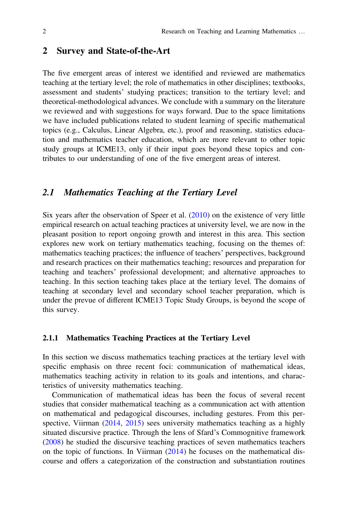# 2 Survey and State-of-the-Art

The five emergent areas of interest we identified and reviewed are mathematics teaching at the tertiary level; the role of mathematics in other disciplines; textbooks, assessment and students' studying practices; transition to the tertiary level; and theoretical-methodological advances. We conclude with a summary on the literature we reviewed and with suggestions for ways forward. Due to the space limitations we have included publications related to student learning of specific mathematical topics (e.g., Calculus, Linear Algebra, etc.), proof and reasoning, statistics education and mathematics teacher education, which are more relevant to other topic study groups at ICME13, only if their input goes beyond these topics and contributes to our understanding of one of the five emergent areas of interest.

# 2.1 Mathematics Teaching at the Tertiary Level

Six years after the observation of Speer et al. ([2010\)](#page-29-0) on the existence of very little empirical research on actual teaching practices at university level, we are now in the pleasant position to report ongoing growth and interest in this area. This section explores new work on tertiary mathematics teaching, focusing on the themes of: mathematics teaching practices; the influence of teachers' perspectives, background and research practices on their mathematics teaching; resources and preparation for teaching and teachers' professional development; and alternative approaches to teaching. In this section teaching takes place at the tertiary level. The domains of teaching at secondary level and secondary school teacher preparation, which is under the prevue of different ICME13 Topic Study Groups, is beyond the scope of this survey.

#### 2.1.1 Mathematics Teaching Practices at the Tertiary Level

In this section we discuss mathematics teaching practices at the tertiary level with specific emphasis on three recent foci: communication of mathematical ideas, mathematics teaching activity in relation to its goals and intentions, and characteristics of university mathematics teaching.

Communication of mathematical ideas has been the focus of several recent studies that consider mathematical teaching as a communication act with attention on mathematical and pedagogical discourses, including gestures. From this per-spective, Viirman [\(2014](#page-30-0), [2015\)](#page-30-0) sees university mathematics teaching as a highly situated discursive practice. Through the lens of Sfard's Commognitive framework [\(2008](#page-29-0)) he studied the discursive teaching practices of seven mathematics teachers on the topic of functions. In Viirman ([2014\)](#page-30-0) he focuses on the mathematical discourse and offers a categorization of the construction and substantiation routines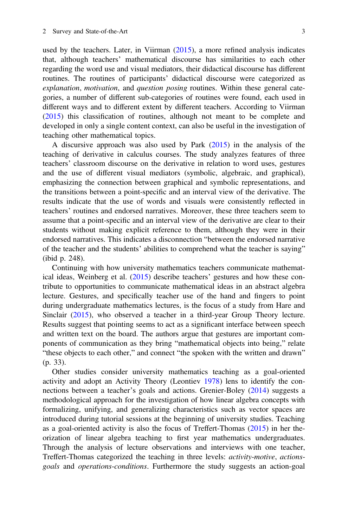used by the teachers. Later, in Viirman [\(2015](#page-30-0)), a more refined analysis indicates that, although teachers' mathematical discourse has similarities to each other regarding the word use and visual mediators, their didactical discourse has different routines. The routines of participants' didactical discourse were categorized as explanation, motivation, and question posing routines. Within these general categories, a number of different sub-categories of routines were found, each used in different ways and to different extent by different teachers. According to Viirman [\(2015](#page-30-0)) this classification of routines, although not meant to be complete and developed in only a single content context, can also be useful in the investigation of teaching other mathematical topics.

A discursive approach was also used by Park [\(2015](#page-28-0)) in the analysis of the teaching of derivative in calculus courses. The study analyzes features of three teachers' classroom discourse on the derivative in relation to word uses, gestures and the use of different visual mediators (symbolic, algebraic, and graphical), emphasizing the connection between graphical and symbolic representations, and the transitions between a point-specific and an interval view of the derivative. The results indicate that the use of words and visuals were consistently reflected in teachers' routines and endorsed narratives. Moreover, these three teachers seem to assume that a point-specific and an interval view of the derivative are clear to their students without making explicit reference to them, although they were in their endorsed narratives. This indicates a disconnection "between the endorsed narrative of the teacher and the students' abilities to comprehend what the teacher is saying" (ibid p. 248).

Continuing with how university mathematics teachers communicate mathematical ideas, Weinberg et al. [\(2015](#page-30-0)) describe teachers' gestures and how these contribute to opportunities to communicate mathematical ideas in an abstract algebra lecture. Gestures, and specifically teacher use of the hand and fingers to point during undergraduate mathematics lectures, is the focus of a study from Hare and Sinclair [\(2015](#page-26-0)), who observed a teacher in a third-year Group Theory lecture. Results suggest that pointing seems to act as a significant interface between speech and written text on the board. The authors argue that gestures are important components of communication as they bring "mathematical objects into being," relate "these objects to each other," and connect "the spoken with the written and drawn" (p. 33).

Other studies consider university mathematics teaching as a goal-oriented activity and adopt an Activity Theory (Leontiev [1978\)](#page-27-0) lens to identify the connections between a teacher's goals and actions. Grenier-Boley ([2014\)](#page-26-0) suggests a methodological approach for the investigation of how linear algebra concepts with formalizing, unifying, and generalizing characteristics such as vector spaces are introduced during tutorial sessions at the beginning of university studies. Teaching as a goal-oriented activity is also the focus of Treffert-Thomas [\(2015](#page-30-0)) in her theorization of linear algebra teaching to first year mathematics undergraduates. Through the analysis of lecture observations and interviews with one teacher, Treffert-Thomas categorized the teaching in three levels: activity-motive, actionsgoals and operations-conditions. Furthermore the study suggests an action-goal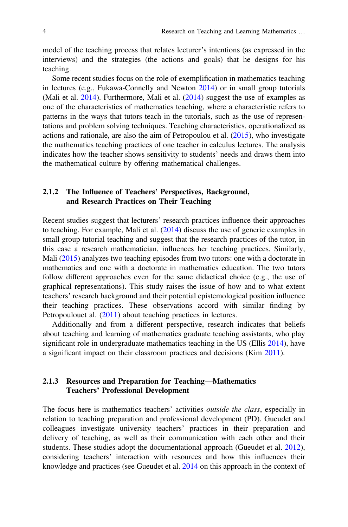model of the teaching process that relates lecturer's intentions (as expressed in the interviews) and the strategies (the actions and goals) that he designs for his teaching.

Some recent studies focus on the role of exemplification in mathematics teaching in lectures (e.g., Fukawa-Connelly and Newton [2014](#page-25-0)) or in small group tutorials (Mali et al. [2014](#page-28-0)). Furthermore, Mali et al. [\(2014](#page-28-0)) suggest the use of examples as one of the characteristics of mathematics teaching, where a characteristic refers to patterns in the ways that tutors teach in the tutorials, such as the use of representations and problem solving techniques. Teaching characteristics, operationalized as actions and rationale, are also the aim of Petropoulou et al. [\(2015](#page-29-0)), who investigate the mathematics teaching practices of one teacher in calculus lectures. The analysis indicates how the teacher shows sensitivity to students' needs and draws them into the mathematical culture by offering mathematical challenges.

# 2.1.2 The Influence of Teachers' Perspectives, Background, and Research Practices on Their Teaching

Recent studies suggest that lecturers' research practices influence their approaches to teaching. For example, Mali et al. ([2014\)](#page-28-0) discuss the use of generic examples in small group tutorial teaching and suggest that the research practices of the tutor, in this case a research mathematician, influences her teaching practices. Similarly, Mali ([2015\)](#page-28-0) analyzes two teaching episodes from two tutors: one with a doctorate in mathematics and one with a doctorate in mathematics education. The two tutors follow different approaches even for the same didactical choice (e.g., the use of graphical representations). This study raises the issue of how and to what extent teachers' research background and their potential epistemological position influence their teaching practices. These observations accord with similar finding by Petropoulouet al. ([2011\)](#page-29-0) about teaching practices in lectures.

Additionally and from a different perspective, research indicates that beliefs about teaching and learning of mathematics graduate teaching assistants, who play significant role in undergraduate mathematics teaching in the US (Ellis  $2014$ ), have a significant impact on their classroom practices and decisions (Kim [2011](#page-27-0)).

# 2.1.3 Resources and Preparation for Teaching—Mathematics Teachers' Professional Development

The focus here is mathematics teachers' activities *outside the class*, especially in relation to teaching preparation and professional development (PD). Gueudet and colleagues investigate university teachers' practices in their preparation and delivery of teaching, as well as their communication with each other and their students. These studies adopt the documentational approach (Gueudet et al. [2012\)](#page-26-0), considering teachers' interaction with resources and how this influences their knowledge and practices (see Gueudet et al. [2014](#page-26-0) on this approach in the context of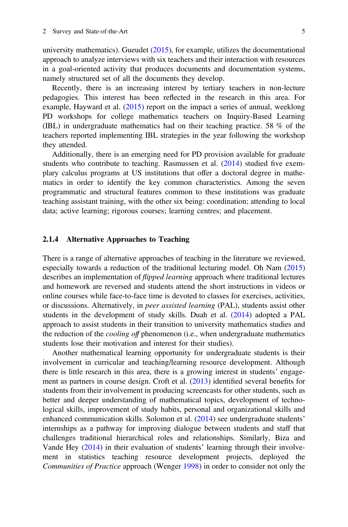university mathematics). Gueudet [\(2015](#page-26-0)), for example, utilizes the documentational approach to analyze interviews with six teachers and their interaction with resources in a goal-oriented activity that produces documents and documentation systems, namely structured set of all the documents they develop.

Recently, there is an increasing interest by tertiary teachers in non-lecture pedagogies. This interest has been reflected in the research in this area. For example, Hayward et al.  $(2015)$  $(2015)$  report on the impact a series of annual, weeklong PD workshops for college mathematics teachers on Inquiry-Based Learning (IBL) in undergraduate mathematics had on their teaching practice. 58 % of the teachers reported implementing IBL strategies in the year following the workshop they attended.

Additionally, there is an emerging need for PD provision available for graduate students who contribute to teaching. Rasmussen et al. ([2014\)](#page-29-0) studied five exemplary calculus programs at US institutions that offer a doctoral degree in mathematics in order to identify the key common characteristics. Among the seven programmatic and structural features common to these institutions was graduate teaching assistant training, with the other six being: coordination; attending to local data; active learning; rigorous courses; learning centres; and placement.

#### 2.1.4 Alternative Approaches to Teaching

There is a range of alternative approaches of teaching in the literature we reviewed, especially towards a reduction of the traditional lecturing model. Oh Nam [\(2015](#page-28-0)) describes an implementation of flipped learning approach where traditional lectures and homework are reversed and students attend the short instructions in videos or online courses while face-to-face time is devoted to classes for exercises, activities, or discussions. Alternatively, in peer assisted learning (PAL), students assist other students in the development of study skills. Duah et al. ([2014\)](#page-25-0) adopted a PAL approach to assist students in their transition to university mathematics studies and the reduction of the *cooling off* phenomenon (i.e., when undergraduate mathematics students lose their motivation and interest for their studies).

Another mathematical learning opportunity for undergraduate students is their involvement in curricular and teaching/learning resource development. Although there is little research in this area, there is a growing interest in students' engagement as partners in course design. Croft et al. ([2013\)](#page-25-0) identified several benefits for students from their involvement in producing screencasts for other students, such as better and deeper understanding of mathematical topics, development of technological skills, improvement of study habits, personal and organizational skills and enhanced communication skills. Solomon et al. ([2014\)](#page-29-0) see undergraduate students' internships as a pathway for improving dialogue between students and staff that challenges traditional hierarchical roles and relationships. Similarly, Biza and Vande Hey [\(2014](#page-24-0)) in their evaluation of students' learning through their involvement in statistics teaching resource development projects, deployed the Communities of Practice approach (Wenger [1998](#page-30-0)) in order to consider not only the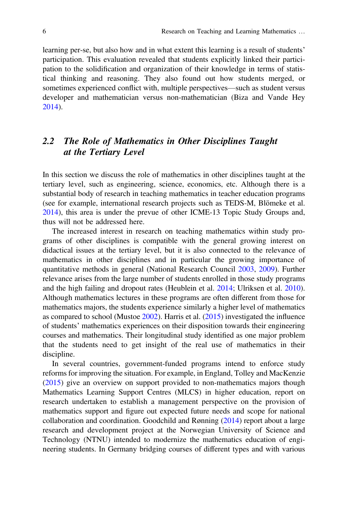learning per-se, but also how and in what extent this learning is a result of students' participation. This evaluation revealed that students explicitly linked their participation to the solidification and organization of their knowledge in terms of statistical thinking and reasoning. They also found out how students merged, or sometimes experienced conflict with, multiple perspectives—such as student versus developer and mathematician versus non-mathematician (Biza and Vande Hey [2014\)](#page-24-0).

# 2.2 The Role of Mathematics in Other Disciplines Taught at the Tertiary Level

In this section we discuss the role of mathematics in other disciplines taught at the tertiary level, such as engineering, science, economics, etc. Although there is a substantial body of research in teaching mathematics in teacher education programs (see for example, international research projects such as TEDS-M, Blömeke et al. [2014\)](#page-24-0), this area is under the prevue of other ICME-13 Topic Study Groups and, thus will not be addressed here.

The increased interest in research on teaching mathematics within study programs of other disciplines is compatible with the general growing interest on didactical issues at the tertiary level, but it is also connected to the relevance of mathematics in other disciplines and in particular the growing importance of quantitative methods in general (National Research Council [2003](#page-28-0), [2009](#page-28-0)). Further relevance arises from the large number of students enrolled in those study programs and the high failing and dropout rates (Heublein et al. [2014](#page-26-0); Ulriksen et al. [2010\)](#page-30-0). Although mathematics lectures in these programs are often different from those for mathematics majors, the students experience similarly a higher level of mathematics as compared to school (Mustoe [2002](#page-28-0)). Harris et al. [\(2015](#page-26-0)) investigated the influence of students' mathematics experiences on their disposition towards their engineering courses and mathematics. Their longitudinal study identified as one major problem that the students need to get insight of the real use of mathematics in their discipline.

In several countries, government-funded programs intend to enforce study reforms for improving the situation. For example, in England, Tolley and MacKenzie [\(2015](#page-30-0)) give an overview on support provided to non-mathematics majors though Mathematics Learning Support Centres (MLCS) in higher education, report on research undertaken to establish a management perspective on the provision of mathematics support and figure out expected future needs and scope for national collaboration and coordination. Goodchild and Rønning [\(2014](#page-26-0)) report about a large research and development project at the Norwegian University of Science and Technology (NTNU) intended to modernize the mathematics education of engineering students. In Germany bridging courses of different types and with various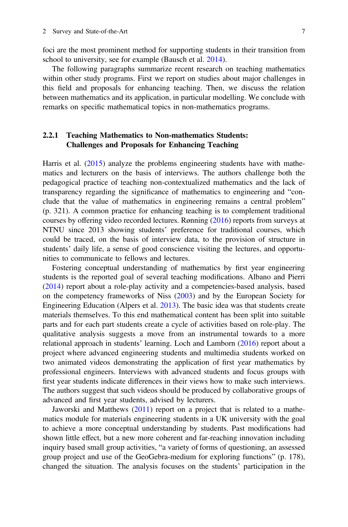foci are the most prominent method for supporting students in their transition from school to university, see for example (Bausch et al. [2014](#page-24-0)).

The following paragraphs summarize recent research on teaching mathematics within other study programs. First we report on studies about major challenges in this field and proposals for enhancing teaching. Then, we discuss the relation between mathematics and its application, in particular modelling. We conclude with remarks on specific mathematical topics in non-mathematics programs.

# 2.2.1 Teaching Mathematics to Non-mathematics Students: Challenges and Proposals for Enhancing Teaching

Harris et al. ([2015\)](#page-26-0) analyze the problems engineering students have with mathematics and lecturers on the basis of interviews. The authors challenge both the pedagogical practice of teaching non-contextualized mathematics and the lack of transparency regarding the significance of mathematics to engineering and "conclude that the value of mathematics in engineering remains a central problem" (p. 321). A common practice for enhancing teaching is to complement traditional courses by offering video recorded lectures. Rønning ([2016\)](#page-29-0) reports from surveys at NTNU since 2013 showing students' preference for traditional courses, which could be traced, on the basis of interview data, to the provision of structure in students' daily life, a sense of good conscience visiting the lectures, and opportunities to communicate to fellows and lectures.

Fostering conceptual understanding of mathematics by first year engineering students is the reported goal of several teaching modifications. Albano and Pierri [\(2014](#page-23-0)) report about a role-play activity and a competencies-based analysis, based on the competency frameworks of Niss [\(2003](#page-28-0)) and by the European Society for Engineering Education (Alpers et al. [2013](#page-23-0)). The basic idea was that students create materials themselves. To this end mathematical content has been split into suitable parts and for each part students create a cycle of activities based on role-play. The qualitative analysis suggests a move from an instrumental towards to a more relational approach in students' learning. Loch and Lamborn [\(2016](#page-28-0)) report about a project where advanced engineering students and multimedia students worked on two animated videos demonstrating the application of first year mathematics by professional engineers. Interviews with advanced students and focus groups with first year students indicate differences in their views how to make such interviews. The authors suggest that such videos should be produced by collaborative groups of advanced and first year students, advised by lecturers.

Jaworski and Matthews ([2011\)](#page-27-0) report on a project that is related to a mathematics module for materials engineering students in a UK university with the goal to achieve a more conceptual understanding by students. Past modifications had shown little effect, but a new more coherent and far-reaching innovation including inquiry based small group activities, "a variety of forms of questioning, an assessed group project and use of the GeoGebra-medium for exploring functions" (p. 178), changed the situation. The analysis focuses on the students' participation in the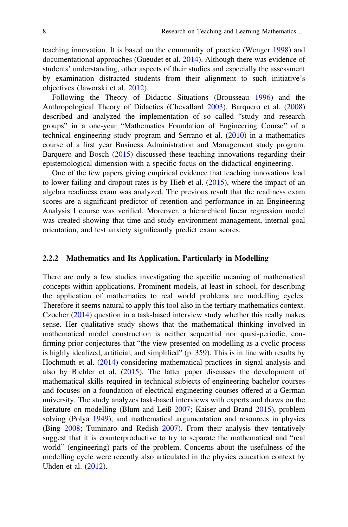teaching innovation. It is based on the community of practice (Wenger [1998\)](#page-30-0) and documentational approaches (Gueudet et al. [2014\)](#page-26-0). Although there was evidence of students' understanding, other aspects of their studies and especially the assessment by examination distracted students from their alignment to such initiative's objectives (Jaworski et al. [2012](#page-27-0)).

Following the Theory of Didactic Situations (Brousseau [1996\)](#page-24-0) and the Anthropological Theory of Didactics (Chevallard [2003\)](#page-25-0), Barquero et al. [\(2008](#page-24-0)) described and analyzed the implementation of so called "study and research groups" in a one-year "Mathematics Foundation of Engineering Course" of a technical engineering study program and Serrano et al. [\(2010](#page-29-0)) in a mathematics course of a first year Business Administration and Management study program. Barquero and Bosch ([2015\)](#page-24-0) discussed these teaching innovations regarding their epistemological dimension with a specific focus on the didactical engineering.

One of the few papers giving empirical evidence that teaching innovations lead to lower failing and dropout rates is by Hieb et al. ([2015\)](#page-26-0), where the impact of an algebra readiness exam was analyzed. The previous result that the readiness exam scores are a significant predictor of retention and performance in an Engineering Analysis I course was verified. Moreover, a hierarchical linear regression model was created showing that time and study environment management, internal goal orientation, and test anxiety significantly predict exam scores.

#### 2.2.2 Mathematics and Its Application, Particularly in Modelling

There are only a few studies investigating the specific meaning of mathematical concepts within applications. Prominent models, at least in school, for describing the application of mathematics to real world problems are modelling cycles. Therefore it seems natural to apply this tool also in the tertiary mathematics context. Czocher [\(2014\)](#page-25-0) question in a task-based interview study whether this really makes sense. Her qualitative study shows that the mathematical thinking involved in mathematical model construction is neither sequential nor quasi-periodic, confirming prior conjectures that "the view presented on modelling as a cyclic process is highly idealized, artificial, and simplified" (p. 359). This is in line with results by Hochmuth et al. [\(2014](#page-26-0)) considering mathematical practices in signal analysis and also by Biehler et al. ([2015\)](#page-24-0). The latter paper discusses the development of mathematical skills required in technical subjects of engineering bachelor courses and focuses on a foundation of electrical engineering courses offered at a German university. The study analyzes task-based interviews with experts and draws on the literature on modelling (Blum and Leiß [2007](#page-24-0); Kaiser and Brand [2015\)](#page-27-0), problem solving (Polya [1949](#page-29-0)), and mathematical argumentation and resources in physics (Bing [2008](#page-24-0); Tuminaro and Redish [2007\)](#page-30-0). From their analysis they tentatively suggest that it is counterproductive to try to separate the mathematical and "real world" (engineering) parts of the problem. Concerns about the usefulness of the modelling cycle were recently also articulated in the physics education context by Uhden et al. [\(2012](#page-30-0)).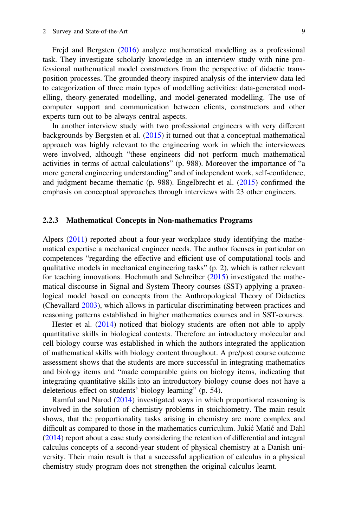Frejd and Bergsten [\(2016](#page-25-0)) analyze mathematical modelling as a professional task. They investigate scholarly knowledge in an interview study with nine professional mathematical model constructors from the perspective of didactic transposition processes. The grounded theory inspired analysis of the interview data led to categorization of three main types of modelling activities: data-generated modelling, theory-generated modelling, and model-generated modelling. The use of computer support and communication between clients, constructors and other experts turn out to be always central aspects.

In another interview study with two professional engineers with very different backgrounds by Bergsten et al. ([2015\)](#page-24-0) it turned out that a conceptual mathematical approach was highly relevant to the engineering work in which the interviewees were involved, although "these engineers did not perform much mathematical activities in terms of actual calculations" (p. 988). Moreover the importance of "a more general engineering understanding" and of independent work, self-confidence, and judgment became thematic (p. 988). Engelbrecht et al. ([2015\)](#page-25-0) confirmed the emphasis on conceptual approaches through interviews with 23 other engineers.

#### 2.2.3 Mathematical Concepts in Non-mathematics Programs

Alpers [\(2011](#page-23-0)) reported about a four-year workplace study identifying the mathematical expertise a mechanical engineer needs. The author focuses in particular on competences "regarding the effective and efficient use of computational tools and qualitative models in mechanical engineering tasks" (p. 2), which is rather relevant for teaching innovations. Hochmuth and Schreiber [\(2015\)](#page-26-0) investigated the mathematical discourse in Signal and System Theory courses (SST) applying a praxeological model based on concepts from the Anthropological Theory of Didactics (Chevallard [2003](#page-25-0)), which allows in particular discriminating between practices and reasoning patterns established in higher mathematics courses and in SST-courses.

Hester et al. ([2014\)](#page-26-0) noticed that biology students are often not able to apply quantitative skills in biological contexts. Therefore an introductory molecular and cell biology course was established in which the authors integrated the application of mathematical skills with biology content throughout. A pre/post course outcome assessment shows that the students are more successful in integrating mathematics and biology items and "made comparable gains on biology items, indicating that integrating quantitative skills into an introductory biology course does not have a deleterious effect on students' biology learning" (p. 54).

Ramful and Narod ([2014\)](#page-29-0) investigated ways in which proportional reasoning is involved in the solution of chemistry problems in stoichiometry. The main result shows, that the proportionality tasks arising in chemistry are more complex and difficult as compared to those in the mathematics curriculum. Jukić Matić and Dahl [\(2014](#page-27-0)) report about a case study considering the retention of differential and integral calculus concepts of a second-year student of physical chemistry at a Danish university. Their main result is that a successful application of calculus in a physical chemistry study program does not strengthen the original calculus learnt.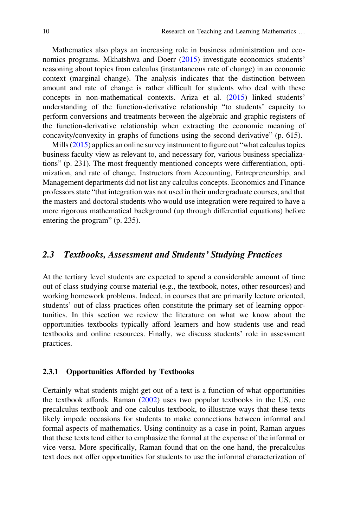Mathematics also plays an increasing role in business administration and economics programs. Mkhatshwa and Doerr [\(2015](#page-28-0)) investigate economics students' reasoning about topics from calculus (instantaneous rate of change) in an economic context (marginal change). The analysis indicates that the distinction between amount and rate of change is rather difficult for students who deal with these concepts in non-mathematical contexts. Ariza et al. [\(2015](#page-23-0)) linked students' understanding of the function-derivative relationship "to students' capacity to perform conversions and treatments between the algebraic and graphic registers of the function-derivative relationship when extracting the economic meaning of concavity/convexity in graphs of functions using the second derivative" (p. 615).

Mills [\(2015](#page-28-0)) applies an online survey instrument to figure out "what calculus topics business faculty view as relevant to, and necessary for, various business specializations" (p. 231). The most frequently mentioned concepts were differentiation, optimization, and rate of change. Instructors from Accounting, Entrepreneurship, and Management departments did not list any calculus concepts. Economics and Finance professors state "that integration was not used in their undergraduate courses, and that the masters and doctoral students who would use integration were required to have a more rigorous mathematical background (up through differential equations) before entering the program" (p. 235).

# 2.3 Textbooks, Assessment and Students' Studying Practices

At the tertiary level students are expected to spend a considerable amount of time out of class studying course material (e.g., the textbook, notes, other resources) and working homework problems. Indeed, in courses that are primarily lecture oriented, students' out of class practices often constitute the primary set of learning opportunities. In this section we review the literature on what we know about the opportunities textbooks typically afford learners and how students use and read textbooks and online resources. Finally, we discuss students' role in assessment practices.

#### 2.3.1 Opportunities Afforded by Textbooks

Certainly what students might get out of a text is a function of what opportunities the textbook affords. Raman ([2002\)](#page-29-0) uses two popular textbooks in the US, one precalculus textbook and one calculus textbook, to illustrate ways that these texts likely impede occasions for students to make connections between informal and formal aspects of mathematics. Using continuity as a case in point, Raman argues that these texts tend either to emphasize the formal at the expense of the informal or vice versa. More specifically, Raman found that on the one hand, the precalculus text does not offer opportunities for students to use the informal characterization of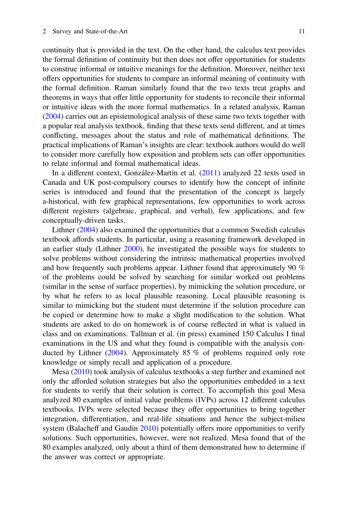continuity that is provided in the text. On the other hand, the calculus text provides the formal definition of continuity but then does not offer opportunities for students to construe informal or intuitive meanings for the definition. Moreover, neither text offers opportunities for students to compare an informal meaning of continuity with the formal definition. Raman similarly found that the two texts treat graphs and theorems in ways that offer little opportunity for students to reconcile their informal or intuitive ideas with the more formal mathematics. In a related analysis, Raman [\(2004](#page-29-0)) carries out an epistemological analysis of these same two texts together with a popular real analysis textbook, finding that these texts send different, and at times conflicting, messages about the status and role of mathematical definitions. The practical implications of Raman's insights are clear: textbook authors would do well to consider more carefully how exposition and problem sets can offer opportunities to relate informal and formal mathematical ideas.

In a different context, González-Martín et al. [\(2011](#page-26-0)) analyzed 22 texts used in Canada and UK post-compulsory courses to identify how the concept of infinite series is introduced and found that the presentation of the concept is largely a-historical, with few graphical representations, few opportunities to work across different registers (algebraic, graphical, and verbal), few applications, and few conceptually-driven tasks.

Lithner ([2004\)](#page-27-0) also examined the opportunities that a common Swedish calculus textbook affords students. In particular, using a reasoning framework developed in an earlier study (Lithner [2000\)](#page-27-0), he investigated the possible ways for students to solve problems without considering the intrinsic mathematical properties involved and how frequently such problems appear. Lithner found that approximately 90 % of the problems could be solved by searching for similar worked out problems (similar in the sense of surface properties), by mimicking the solution procedure, or by what he refers to as local plausible reasoning. Local plausible reasoning is similar to mimicking but the student must determine if the solution procedure can be copied or determine how to make a slight modification to the solution. What students are asked to do on homework is of course reflected in what is valued in class and on examinations. Tallman et al. (in press) examined 150 Calculus I final examinations in the US and what they found is compatible with the analysis conducted by Lithner ([2004\)](#page-27-0). Approximately 85 % of problems required only rote knowledge or simply recall and application of a procedure.

Mesa [\(2010\)](#page-28-0) took analysis of calculus textbooks a step further and examined not only the afforded solution strategies but also the opportunities embedded in a text for students to verify that their solution is correct. To accomplish this goal Mesa analyzed 80 examples of initial value problems (IVPs) across 12 different calculus textbooks. IVPs were selected because they offer opportunities to bring together integration, differentiation, and real-life situations and hence the subject-milieu system (Balacheff and Gaudin [2010](#page-23-0)) potentially offers more opportunities to verify solutions. Such opportunities, however, were not realized. Mesa found that of the 80 examples analyzed, only about a third of them demonstrated how to determine if the answer was correct or appropriate.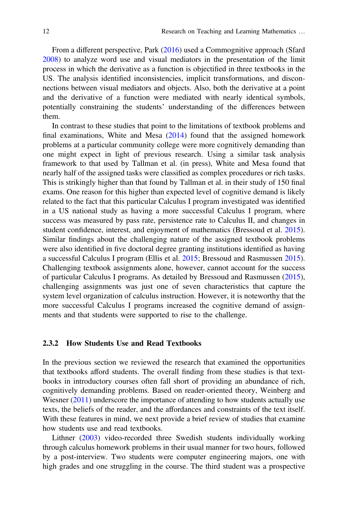From a different perspective, Park [\(2016](#page-28-0)) used a Commognitive approach (Sfard [2008\)](#page-29-0) to analyze word use and visual mediators in the presentation of the limit process in which the derivative as a function is objectified in three textbooks in the US. The analysis identified inconsistencies, implicit transformations, and disconnections between visual mediators and objects. Also, both the derivative at a point and the derivative of a function were mediated with nearly identical symbols, potentially constraining the students' understanding of the differences between them.

In contrast to these studies that point to the limitations of textbook problems and final examinations, White and Mesa ([2014\)](#page-31-0) found that the assigned homework problems at a particular community college were more cognitively demanding than one might expect in light of previous research. Using a similar task analysis framework to that used by Tallman et al. (in press), White and Mesa found that nearly half of the assigned tasks were classified as complex procedures or rich tasks. This is strikingly higher than that found by Tallman et al. in their study of 150 final exams. One reason for this higher than expected level of cognitive demand is likely related to the fact that this particular Calculus I program investigated was identified in a US national study as having a more successful Calculus I program, where success was measured by pass rate, persistence rate to Calculus II, and changes in student confidence, interest, and enjoyment of mathematics (Bressoud et al. [2015\)](#page-24-0). Similar findings about the challenging nature of the assigned textbook problems were also identified in five doctoral degree granting institutions identified as having a successful Calculus I program (Ellis et al. [2015](#page-25-0); Bressoud and Rasmussen [2015\)](#page-24-0). Challenging textbook assignments alone, however, cannot account for the success of particular Calculus I programs. As detailed by Bressoud and Rasmussen ([2015\)](#page-24-0), challenging assignments was just one of seven characteristics that capture the system level organization of calculus instruction. However, it is noteworthy that the more successful Calculus I programs increased the cognitive demand of assignments and that students were supported to rise to the challenge.

#### 2.3.2 How Students Use and Read Textbooks

In the previous section we reviewed the research that examined the opportunities that textbooks afford students. The overall finding from these studies is that textbooks in introductory courses often fall short of providing an abundance of rich, cognitively demanding problems. Based on reader-oriented theory, Weinberg and Wiesner [\(2011](#page-30-0)) underscore the importance of attending to how students actually use texts, the beliefs of the reader, and the affordances and constraints of the text itself. With these features in mind, we next provide a brief review of studies that examine how students use and read textbooks.

Lithner [\(2003](#page-27-0)) video-recorded three Swedish students individually working through calculus homework problems in their usual manner for two hours, followed by a post-interview. Two students were computer engineering majors, one with high grades and one struggling in the course. The third student was a prospective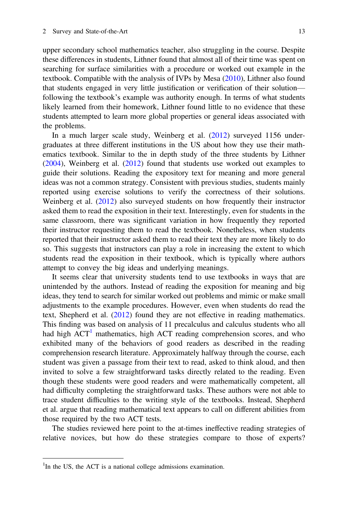upper secondary school mathematics teacher, also struggling in the course. Despite these differences in students, Lithner found that almost all of their time was spent on searching for surface similarities with a procedure or worked out example in the textbook. Compatible with the analysis of IVPs by Mesa [\(2010](#page-28-0)), Lithner also found that students engaged in very little justification or verification of their solution following the textbook's example was authority enough. In terms of what students likely learned from their homework, Lithner found little to no evidence that these students attempted to learn more global properties or general ideas associated with the problems.

In a much larger scale study, Weinberg et al. [\(2012](#page-30-0)) surveyed 1156 undergraduates at three different institutions in the US about how they use their mathematics textbook. Similar to the in depth study of the three students by Lithner [\(2004](#page-27-0)), Weinberg et al. [\(2012](#page-30-0)) found that students use worked out examples to guide their solutions. Reading the expository text for meaning and more general ideas was not a common strategy. Consistent with previous studies, students mainly reported using exercise solutions to verify the correctness of their solutions. Weinberg et al. [\(2012](#page-30-0)) also surveyed students on how frequently their instructor asked them to read the exposition in their text. Interestingly, even for students in the same classroom, there was significant variation in how frequently they reported their instructor requesting them to read the textbook. Nonetheless, when students reported that their instructor asked them to read their text they are more likely to do so. This suggests that instructors can play a role in increasing the extent to which students read the exposition in their textbook, which is typically where authors attempt to convey the big ideas and underlying meanings.

It seems clear that university students tend to use textbooks in ways that are unintended by the authors. Instead of reading the exposition for meaning and big ideas, they tend to search for similar worked out problems and mimic or make small adjustments to the example procedures. However, even when students do read the text, Shepherd et al. ([2012\)](#page-29-0) found they are not effective in reading mathematics. This finding was based on analysis of 11 precalculus and calculus students who all had high  $ACT<sup>1</sup>$  mathematics, high ACT reading comprehension scores, and who exhibited many of the behaviors of good readers as described in the reading comprehension research literature. Approximately halfway through the course, each student was given a passage from their text to read, asked to think aloud, and then invited to solve a few straightforward tasks directly related to the reading. Even though these students were good readers and were mathematically competent, all had difficulty completing the straightforward tasks. These authors were not able to trace student difficulties to the writing style of the textbooks. Instead, Shepherd et al. argue that reading mathematical text appears to call on different abilities from those required by the two ACT tests.

The studies reviewed here point to the at-times ineffective reading strategies of relative novices, but how do these strategies compare to those of experts?

<sup>&</sup>lt;sup>1</sup>In the US, the ACT is a national college admissions examination.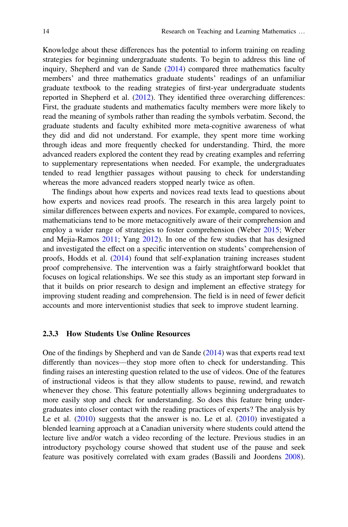Knowledge about these differences has the potential to inform training on reading strategies for beginning undergraduate students. To begin to address this line of inquiry, Shepherd and van de Sande [\(2014](#page-29-0)) compared three mathematics faculty members' and three mathematics graduate students' readings of an unfamiliar graduate textbook to the reading strategies of first-year undergraduate students reported in Shepherd et al. ([2012\)](#page-29-0). They identified three overarching differences: First, the graduate students and mathematics faculty members were more likely to read the meaning of symbols rather than reading the symbols verbatim. Second, the graduate students and faculty exhibited more meta-cognitive awareness of what they did and did not understand. For example, they spent more time working through ideas and more frequently checked for understanding. Third, the more advanced readers explored the content they read by creating examples and referring to supplementary representations when needed. For example, the undergraduates tended to read lengthier passages without pausing to check for understanding whereas the more advanced readers stopped nearly twice as often.

The findings about how experts and novices read texts lead to questions about how experts and novices read proofs. The research in this area largely point to similar differences between experts and novices. For example, compared to novices, mathematicians tend to be more metacognitively aware of their comprehension and employ a wider range of strategies to foster comprehension (Weber [2015;](#page-30-0) Weber and Mejia-Ramos [2011;](#page-30-0) Yang [2012](#page-31-0)). In one of the few studies that has designed and investigated the effect on a specific intervention on students' comprehension of proofs, Hodds et al. ([2014\)](#page-27-0) found that self-explanation training increases student proof comprehensive. The intervention was a fairly straightforward booklet that focuses on logical relationships. We see this study as an important step forward in that it builds on prior research to design and implement an effective strategy for improving student reading and comprehension. The field is in need of fewer deficit accounts and more interventionist studies that seek to improve student learning.

#### 2.3.3 How Students Use Online Resources

One of the findings by Shepherd and van de Sande  $(2014)$  $(2014)$  was that experts read text differently than novices—they stop more often to check for understanding. This finding raises an interesting question related to the use of videos. One of the features of instructional videos is that they allow students to pause, rewind, and rewatch whenever they chose. This feature potentially allows beginning undergraduates to more easily stop and check for understanding. So does this feature bring undergraduates into closer contact with the reading practices of experts? The analysis by Le et al.  $(2010)$  $(2010)$  suggests that the answer is no. Le et al.  $(2010)$  $(2010)$  investigated a blended learning approach at a Canadian university where students could attend the lecture live and/or watch a video recording of the lecture. Previous studies in an introductory psychology course showed that student use of the pause and seek feature was positively correlated with exam grades (Bassili and Joordens [2008\)](#page-24-0).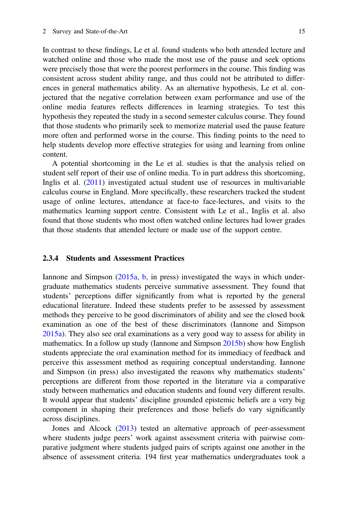In contrast to these findings, Le et al. found students who both attended lecture and watched online and those who made the most use of the pause and seek options were precisely those that were the poorest performers in the course. This finding was consistent across student ability range, and thus could not be attributed to differences in general mathematics ability. As an alternative hypothesis, Le et al. conjectured that the negative correlation between exam performance and use of the online media features reflects differences in learning strategies. To test this hypothesis they repeated the study in a second semester calculus course. They found that those students who primarily seek to memorize material used the pause feature more often and performed worse in the course. This finding points to the need to help students develop more effective strategies for using and learning from online content.

A potential shortcoming in the Le et al. studies is that the analysis relied on student self report of their use of online media. To in part address this shortcoming, Inglis et al. [\(2011](#page-27-0)) investigated actual student use of resources in multivariable calculus course in England. More specifically, these researchers tracked the student usage of online lectures, attendance at face-to face-lectures, and visits to the mathematics learning support centre. Consistent with Le et al., Inglis et al. also found that those students who most often watched online lectures had lower grades that those students that attended lecture or made use of the support centre.

#### 2.3.4 Students and Assessment Practices

Iannone and Simpson [\(2015a](#page-27-0), [b,](#page-27-0) in press) investigated the ways in which undergraduate mathematics students perceive summative assessment. They found that students' perceptions differ significantly from what is reported by the general educational literature. Indeed these students prefer to be assessed by assessment methods they perceive to be good discriminators of ability and see the closed book examination as one of the best of these discriminators (Iannone and Simpson [2015a](#page-27-0)). They also see oral examinations as a very good way to assess for ability in mathematics. In a follow up study (Iannone and Simpson [2015b\)](#page-27-0) show how English students appreciate the oral examination method for its immediacy of feedback and perceive this assessment method as requiring conceptual understanding. Iannone and Simpson (in press) also investigated the reasons why mathematics students' perceptions are different from those reported in the literature via a comparative study between mathematics and education students and found very different results. It would appear that students' discipline grounded epistemic beliefs are a very big component in shaping their preferences and those beliefs do vary significantly across disciplines.

Jones and Alcock [\(2013](#page-27-0)) tested an alternative approach of peer-assessment where students judge peers' work against assessment criteria with pairwise comparative judgment where students judged pairs of scripts against one another in the absence of assessment criteria. 194 first year mathematics undergraduates took a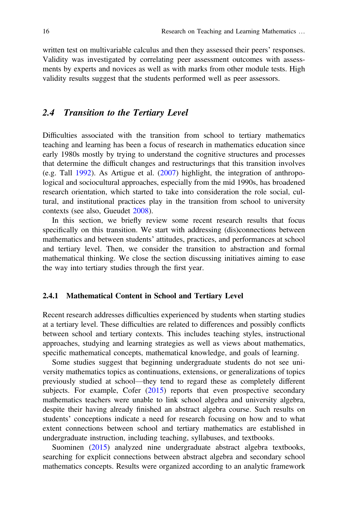written test on multivariable calculus and then they assessed their peers' responses. Validity was investigated by correlating peer assessment outcomes with assessments by experts and novices as well as with marks from other module tests. High validity results suggest that the students performed well as peer assessors.

# 2.4 Transition to the Tertiary Level

Difficulties associated with the transition from school to tertiary mathematics teaching and learning has been a focus of research in mathematics education since early 1980s mostly by trying to understand the cognitive structures and processes that determine the difficult changes and restructurings that this transition involves (e.g. Tall [1992](#page-30-0)). As Artigue et al. [\(2007](#page-23-0)) highlight, the integration of anthropological and sociocultural approaches, especially from the mid 1990s, has broadened research orientation, which started to take into consideration the role social, cultural, and institutional practices play in the transition from school to university contexts (see also, Gueudet [2008\)](#page-26-0).

In this section, we briefly review some recent research results that focus specifically on this transition. We start with addressing (dis)connections between mathematics and between students' attitudes, practices, and performances at school and tertiary level. Then, we consider the transition to abstraction and formal mathematical thinking. We close the section discussing initiatives aiming to ease the way into tertiary studies through the first year.

#### 2.4.1 Mathematical Content in School and Tertiary Level

Recent research addresses difficulties experienced by students when starting studies at a tertiary level. These difficulties are related to differences and possibly conflicts between school and tertiary contexts. This includes teaching styles, instructional approaches, studying and learning strategies as well as views about mathematics, specific mathematical concepts, mathematical knowledge, and goals of learning.

Some studies suggest that beginning undergraduate students do not see university mathematics topics as continuations, extensions, or generalizations of topics previously studied at school—they tend to regard these as completely different subjects. For example, Cofer  $(2015)$  $(2015)$  reports that even prospective secondary mathematics teachers were unable to link school algebra and university algebra, despite their having already finished an abstract algebra course. Such results on students' conceptions indicate a need for research focusing on how and to what extent connections between school and tertiary mathematics are established in undergraduate instruction, including teaching, syllabuses, and textbooks.

Suominen [\(2015](#page-30-0)) analyzed nine undergraduate abstract algebra textbooks, searching for explicit connections between abstract algebra and secondary school mathematics concepts. Results were organized according to an analytic framework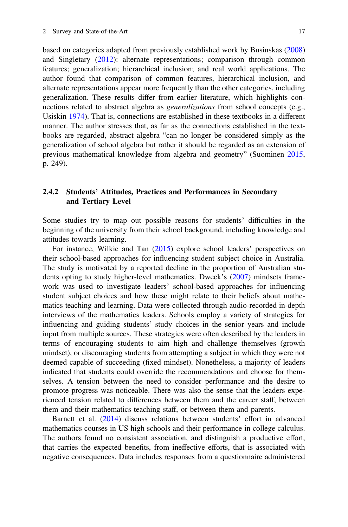based on categories adapted from previously established work by Businskas [\(2008](#page-24-0)) and Singletary [\(2012](#page-29-0)): alternate representations; comparison through common features; generalization; hierarchical inclusion; and real world applications. The author found that comparison of common features, hierarchical inclusion, and alternate representations appear more frequently than the other categories, including generalization. These results differ from earlier literature, which highlights connections related to abstract algebra as generalizations from school concepts (e.g., Usiskin [1974\)](#page-30-0). That is, connections are established in these textbooks in a different manner. The author stresses that, as far as the connections established in the textbooks are regarded, abstract algebra "can no longer be considered simply as the generalization of school algebra but rather it should be regarded as an extension of previous mathematical knowledge from algebra and geometry" (Suominen [2015](#page-30-0), p. 249).

# 2.4.2 Students' Attitudes, Practices and Performances in Secondary and Tertiary Level

Some studies try to map out possible reasons for students' difficulties in the beginning of the university from their school background, including knowledge and attitudes towards learning.

For instance, Wilkie and Tan ([2015\)](#page-31-0) explore school leaders' perspectives on their school-based approaches for influencing student subject choice in Australia. The study is motivated by a reported decline in the proportion of Australian students opting to study higher-level mathematics. Dweck's ([2007\)](#page-25-0) mindsets framework was used to investigate leaders' school-based approaches for influencing student subject choices and how these might relate to their beliefs about mathematics teaching and learning. Data were collected through audio-recorded in-depth interviews of the mathematics leaders. Schools employ a variety of strategies for influencing and guiding students' study choices in the senior years and include input from multiple sources. These strategies were often described by the leaders in terms of encouraging students to aim high and challenge themselves (growth mindset), or discouraging students from attempting a subject in which they were not deemed capable of succeeding (fixed mindset). Nonetheless, a majority of leaders indicated that students could override the recommendations and choose for themselves. A tension between the need to consider performance and the desire to promote progress was noticeable. There was also the sense that the leaders experienced tension related to differences between them and the career staff, between them and their mathematics teaching staff, or between them and parents.

Barnett et al. ([2014\)](#page-24-0) discuss relations between students' effort in advanced mathematics courses in US high schools and their performance in college calculus. The authors found no consistent association, and distinguish a productive effort, that carries the expected benefits, from ineffective efforts, that is associated with negative consequences. Data includes responses from a questionnaire administered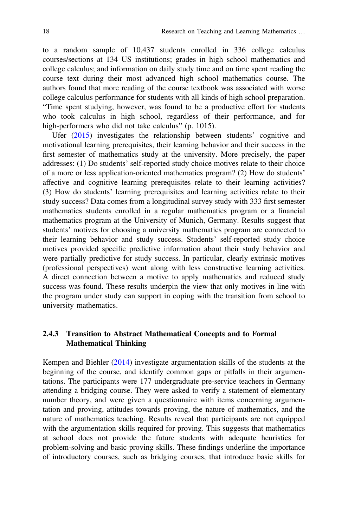to a random sample of 10,437 students enrolled in 336 college calculus courses/sections at 134 US institutions; grades in high school mathematics and college calculus; and information on daily study time and on time spent reading the course text during their most advanced high school mathematics course. The authors found that more reading of the course textbook was associated with worse college calculus performance for students with all kinds of high school preparation. "Time spent studying, however, was found to be a productive effort for students who took calculus in high school, regardless of their performance, and for high-performers who did not take calculus" (p. 1015).

Ufer [\(2015](#page-30-0)) investigates the relationship between students' cognitive and motivational learning prerequisites, their learning behavior and their success in the first semester of mathematics study at the university. More precisely, the paper addresses: (1) Do students' self-reported study choice motives relate to their choice of a more or less application-oriented mathematics program? (2) How do students' affective and cognitive learning prerequisites relate to their learning activities? (3) How do students' learning prerequisites and learning activities relate to their study success? Data comes from a longitudinal survey study with 333 first semester mathematics students enrolled in a regular mathematics program or a financial mathematics program at the University of Munich, Germany. Results suggest that students' motives for choosing a university mathematics program are connected to their learning behavior and study success. Students' self-reported study choice motives provided specific predictive information about their study behavior and were partially predictive for study success. In particular, clearly extrinsic motives (professional perspectives) went along with less constructive learning activities. A direct connection between a motive to apply mathematics and reduced study success was found. These results underpin the view that only motives in line with the program under study can support in coping with the transition from school to university mathematics.

# 2.4.3 Transition to Abstract Mathematical Concepts and to Formal Mathematical Thinking

Kempen and Biehler ([2014\)](#page-27-0) investigate argumentation skills of the students at the beginning of the course, and identify common gaps or pitfalls in their argumentations. The participants were 177 undergraduate pre-service teachers in Germany attending a bridging course. They were asked to verify a statement of elementary number theory, and were given a questionnaire with items concerning argumentation and proving, attitudes towards proving, the nature of mathematics, and the nature of mathematics teaching. Results reveal that participants are not equipped with the argumentation skills required for proving. This suggests that mathematics at school does not provide the future students with adequate heuristics for problem-solving and basic proving skills. These findings underline the importance of introductory courses, such as bridging courses, that introduce basic skills for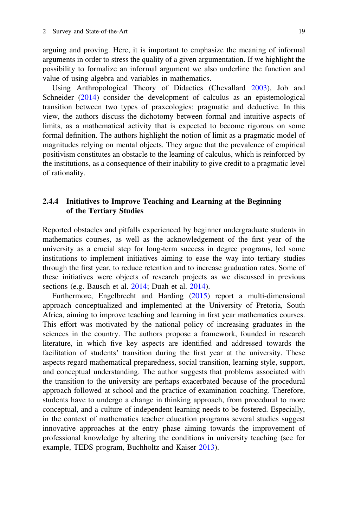arguing and proving. Here, it is important to emphasize the meaning of informal arguments in order to stress the quality of a given argumentation. If we highlight the possibility to formalize an informal argument we also underline the function and value of using algebra and variables in mathematics.

Using Anthropological Theory of Didactics (Chevallard [2003](#page-25-0)), Job and Schneider ([2014\)](#page-27-0) consider the development of calculus as an epistemological transition between two types of praxeologies: pragmatic and deductive. In this view, the authors discuss the dichotomy between formal and intuitive aspects of limits, as a mathematical activity that is expected to become rigorous on some formal definition. The authors highlight the notion of limit as a pragmatic model of magnitudes relying on mental objects. They argue that the prevalence of empirical positivism constitutes an obstacle to the learning of calculus, which is reinforced by the institutions, as a consequence of their inability to give credit to a pragmatic level of rationality.

# 2.4.4 Initiatives to Improve Teaching and Learning at the Beginning of the Tertiary Studies

Reported obstacles and pitfalls experienced by beginner undergraduate students in mathematics courses, as well as the acknowledgement of the first year of the university as a crucial step for long-term success in degree programs, led some institutions to implement initiatives aiming to ease the way into tertiary studies through the first year, to reduce retention and to increase graduation rates. Some of these initiatives were objects of research projects as we discussed in previous sections (e.g. Bausch et al. [2014;](#page-24-0) Duah et al. [2014\)](#page-25-0).

Furthermore, Engelbrecht and Harding [\(2015](#page-25-0)) report a multi-dimensional approach conceptualized and implemented at the University of Pretoria, South Africa, aiming to improve teaching and learning in first year mathematics courses. This effort was motivated by the national policy of increasing graduates in the sciences in the country. The authors propose a framework, founded in research literature, in which five key aspects are identified and addressed towards the facilitation of students' transition during the first year at the university. These aspects regard mathematical preparedness, social transition, learning style, support, and conceptual understanding. The author suggests that problems associated with the transition to the university are perhaps exacerbated because of the procedural approach followed at school and the practice of examination coaching. Therefore, students have to undergo a change in thinking approach, from procedural to more conceptual, and a culture of independent learning needs to be fostered. Especially, in the context of mathematics teacher education programs several studies suggest innovative approaches at the entry phase aiming towards the improvement of professional knowledge by altering the conditions in university teaching (see for example, TEDS program, Buchholtz and Kaiser [2013](#page-24-0)).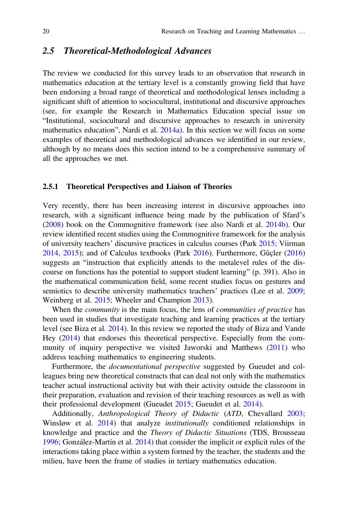# 2.5 Theoretical-Methodological Advances

The review we conducted for this survey leads to an observation that research in mathematics education at the tertiary level is a constantly growing field that have been endorsing a broad range of theoretical and methodological lenses including a significant shift of attention to sociocultural, institutional and discursive approaches (see, for example the Research in Mathematics Education special issue on "Institutional, sociocultural and discursive approaches to research in university mathematics education", Nardi et al. [2014a\)](#page-28-0). In this section we will focus on some examples of theoretical and methodological advances we identified in our review, although by no means does this section intend to be a comprehensive summary of all the approaches we met.

#### 2.5.1 Theoretical Perspectives and Liaison of Theories

Very recently, there has been increasing interest in discursive approaches into research, with a significant influence being made by the publication of Sfard's [\(2008](#page-29-0)) book on the Commognitive framework (see also Nardi et al. [2014b\)](#page-28-0). Our review identified recent studies using the Commognitive framework for the analysis of university teachers' discursive practices in calculus courses (Park [2015](#page-28-0); Viirman [2014,](#page-30-0) [2015\)](#page-30-0); and of Calculus textbooks (Park [2016](#page-28-0)). Furthermore, Güçler [\(2016](#page-26-0)) suggests an "instruction that explicitly attends to the metalevel rules of the discourse on functions has the potential to support student learning" (p. 391). Also in the mathematical communication field, some recent studies focus on gestures and semiotics to describe university mathematics teachers' practices (Lee et al. [2009;](#page-27-0) Weinberg et al. [2015](#page-30-0); Wheeler and Champion [2013](#page-30-0)).

When the *community* is the main focus, the lens of *communities of practice* has been used in studies that investigate teaching and learning practices at the tertiary level (see Biza et al. [2014\)](#page-24-0). In this review we reported the study of Biza and Vande Hey ([2014\)](#page-24-0) that endorses this theoretical perspective. Especially from the community of inquiry perspective we visited Jaworski and Matthews ([2011\)](#page-27-0) who address teaching mathematics to engineering students.

Furthermore, the *documentational perspective* suggested by Gueudet and colleagues bring new theoretical constructs that can deal not only with the mathematics teacher actual instructional activity but with their activity outside the classroom in their preparation, evaluation and revision of their teaching resources as well as with their professional development (Gueudet [2015](#page-26-0); Gueudet et al. [2014](#page-26-0)).

Additionally, Anthropological Theory of Didactic (ATD, Chevallard [2003;](#page-25-0) Winsløw et al. [2014](#page-31-0)) that analyze institutionally conditioned relationships in knowledge and practice and the Theory of Didactic Situations (TDS, Brousseau [1996;](#page-24-0) González-Martín et al. [2014\)](#page-25-0) that consider the implicit or explicit rules of the interactions taking place within a system formed by the teacher, the students and the milieu, have been the frame of studies in tertiary mathematics education.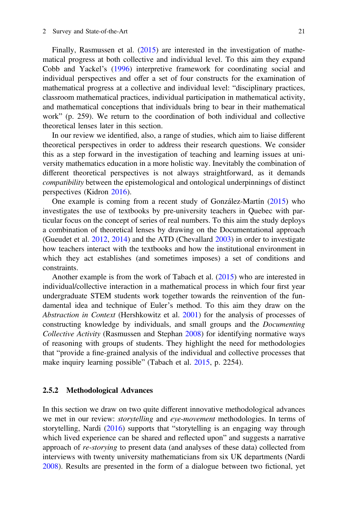Finally, Rasmussen et al. [\(2015](#page-29-0)) are interested in the investigation of mathematical progress at both collective and individual level. To this aim they expand Cobb and Yackel's ([1996\)](#page-25-0) interpretive framework for coordinating social and individual perspectives and offer a set of four constructs for the examination of mathematical progress at a collective and individual level: "disciplinary practices, classroom mathematical practices, individual participation in mathematical activity, and mathematical conceptions that individuals bring to bear in their mathematical work" (p. 259). We return to the coordination of both individual and collective theoretical lenses later in this section.

In our review we identified, also, a range of studies, which aim to liaise different theoretical perspectives in order to address their research questions. We consider this as a step forward in the investigation of teaching and learning issues at university mathematics education in a more holistic way. Inevitably the combination of different theoretical perspectives is not always straightforward, as it demands compatibility between the epistemological and ontological underpinnings of distinct perspectives (Kidron [2016\)](#page-27-0).

One example is coming from a recent study of González-Martín [\(2015](#page-25-0)) who investigates the use of textbooks by pre-university teachers in Quebec with particular focus on the concept of series of real numbers. To this aim the study deploys a combination of theoretical lenses by drawing on the Documentational approach (Gueudet et al. [2012,](#page-26-0) [2014](#page-26-0)) and the ATD (Chevallard [2003\)](#page-25-0) in order to investigate how teachers interact with the textbooks and how the institutional environment in which they act establishes (and sometimes imposes) a set of conditions and constraints.

Another example is from the work of Tabach et al. ([2015\)](#page-30-0) who are interested in individual/collective interaction in a mathematical process in which four first year undergraduate STEM students work together towards the reinvention of the fundamental idea and technique of Euler's method. To this aim they draw on the Abstraction in Context (Hershkowitz et al. [2001\)](#page-26-0) for the analysis of processes of constructing knowledge by individuals, and small groups and the Documenting Collective Activity (Rasmussen and Stephan [2008](#page-29-0)) for identifying normative ways of reasoning with groups of students. They highlight the need for methodologies that "provide a fine-grained analysis of the individual and collective processes that make inquiry learning possible" (Tabach et al. [2015](#page-30-0), p. 2254).

#### 2.5.2 Methodological Advances

In this section we draw on two quite different innovative methodological advances we met in our review: *storytelling* and *eye-movement* methodologies. In terms of storytelling, Nardi ([2016\)](#page-28-0) supports that "storytelling is an engaging way through which lived experience can be shared and reflected upon" and suggests a narrative approach of re-storying to present data (and analyses of these data) collected from interviews with twenty university mathematicians from six UK departments (Nardi [2008\)](#page-28-0). Results are presented in the form of a dialogue between two fictional, yet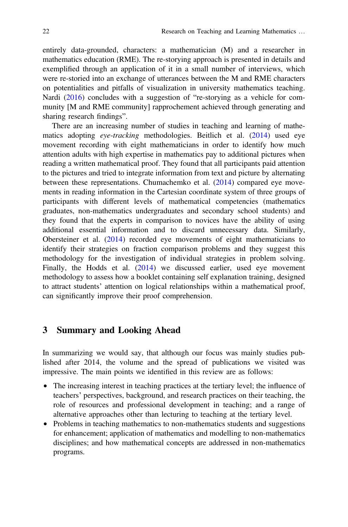entirely data-grounded, characters: a mathematician (M) and a researcher in mathematics education (RME). The re-storying approach is presented in details and exemplified through an application of it in a small number of interviews, which were re-storied into an exchange of utterances between the M and RME characters on potentialities and pitfalls of visualization in university mathematics teaching. Nardi ([2016\)](#page-28-0) concludes with a suggestion of "re-storying as a vehicle for community [M and RME community] rapprochement achieved through generating and sharing research findings".

There are an increasing number of studies in teaching and learning of mathematics adopting eye-tracking methodologies. Beitlich et al. [\(2014](#page-24-0)) used eye movement recording with eight mathematicians in order to identify how much attention adults with high expertise in mathematics pay to additional pictures when reading a written mathematical proof. They found that all participants paid attention to the pictures and tried to integrate information from text and picture by alternating between these representations. Chumachemko et al. ([2014\)](#page-25-0) compared eye movements in reading information in the Cartesian coordinate system of three groups of participants with different levels of mathematical competencies (mathematics graduates, non-mathematics undergraduates and secondary school students) and they found that the experts in comparison to novices have the ability of using additional essential information and to discard unnecessary data. Similarly, Obersteiner et al. [\(2014](#page-28-0)) recorded eye movements of eight mathematicians to identify their strategies on fraction comparison problems and they suggest this methodology for the investigation of individual strategies in problem solving. Finally, the Hodds et al. ([2014\)](#page-27-0) we discussed earlier, used eye movement methodology to assess how a booklet containing self explanation training, designed to attract students' attention on logical relationships within a mathematical proof, can significantly improve their proof comprehension.

# 3 Summary and Looking Ahead

In summarizing we would say, that although our focus was mainly studies published after 2014, the volume and the spread of publications we visited was impressive. The main points we identified in this review are as follows:

- The increasing interest in teaching practices at the tertiary level; the influence of teachers' perspectives, background, and research practices on their teaching, the role of resources and professional development in teaching; and a range of alternative approaches other than lecturing to teaching at the tertiary level.
- Problems in teaching mathematics to non-mathematics students and suggestions for enhancement; application of mathematics and modelling to non-mathematics disciplines; and how mathematical concepts are addressed in non-mathematics programs.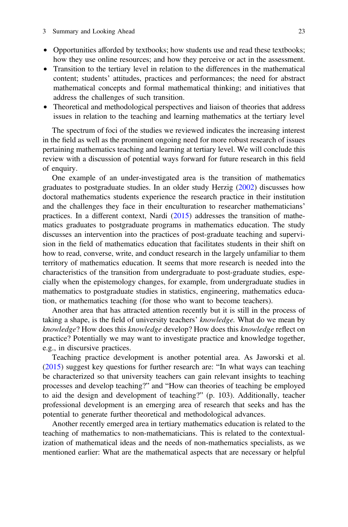#### 3 Summary and Looking Ahead 23

- Opportunities afforded by textbooks; how students use and read these textbooks; how they use online resources; and how they perceive or act in the assessment.
- Transition to the tertiary level in relation to the differences in the mathematical content; students' attitudes, practices and performances; the need for abstract mathematical concepts and formal mathematical thinking; and initiatives that address the challenges of such transition.
- Theoretical and methodological perspectives and liaison of theories that address issues in relation to the teaching and learning mathematics at the tertiary level

The spectrum of foci of the studies we reviewed indicates the increasing interest in the field as well as the prominent ongoing need for more robust research of issues pertaining mathematics teaching and learning at tertiary level. We will conclude this review with a discussion of potential ways forward for future research in this field of enquiry.

One example of an under-investigated area is the transition of mathematics graduates to postgraduate studies. In an older study Herzig [\(2002](#page-26-0)) discusses how doctoral mathematics students experience the research practice in their institution and the challenges they face in their enculturation to researcher mathematicians' practices. In a different context, Nardi [\(2015](#page-28-0)) addresses the transition of mathematics graduates to postgraduate programs in mathematics education. The study discusses an intervention into the practices of post-graduate teaching and supervision in the field of mathematics education that facilitates students in their shift on how to read, converse, write, and conduct research in the largely unfamiliar to them territory of mathematics education. It seems that more research is needed into the characteristics of the transition from undergraduate to post-graduate studies, especially when the epistemology changes, for example, from undergraduate studies in mathematics to postgraduate studies in statistics, engineering, mathematics education, or mathematics teaching (for those who want to become teachers).

Another area that has attracted attention recently but it is still in the process of taking a shape, is the field of university teachers' knowledge. What do we mean by knowledge? How does this knowledge develop? How does this knowledge reflect on practice? Potentially we may want to investigate practice and knowledge together, e.g., in discursive practices.

Teaching practice development is another potential area. As Jaworski et al. [\(2015](#page-27-0)) suggest key questions for further research are: "In what ways can teaching be characterized so that university teachers can gain relevant insights to teaching processes and develop teaching?" and "How can theories of teaching be employed to aid the design and development of teaching?" (p. 103). Additionally, teacher professional development is an emerging area of research that seeks and has the potential to generate further theoretical and methodological advances.

Another recently emerged area in tertiary mathematics education is related to the teaching of mathematics to non-mathematicians. This is related to the contextualization of mathematical ideas and the needs of non-mathematics specialists, as we mentioned earlier: What are the mathematical aspects that are necessary or helpful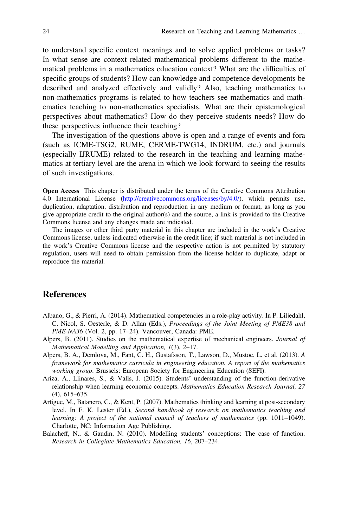<span id="page-23-0"></span>to understand specific context meanings and to solve applied problems or tasks? In what sense are context related mathematical problems different to the mathematical problems in a mathematics education context? What are the difficulties of specific groups of students? How can knowledge and competence developments be described and analyzed effectively and validly? Also, teaching mathematics to non-mathematics programs is related to how teachers see mathematics and mathematics teaching to non-mathematics specialists. What are their epistemological perspectives about mathematics? How do they perceive students needs? How do these perspectives influence their teaching?

The investigation of the questions above is open and a range of events and fora (such as ICME-TSG2, RUME, CERME-TWG14, INDRUM, etc.) and journals (especially IJRUME) related to the research in the teaching and learning mathematics at tertiary level are the arena in which we look forward to seeing the results of such investigations.

Open Access This chapter is distributed under the terms of the Creative Commons Attribution 4.0 International License [\(http://creativecommons.org/licenses/by/4.0/](http://creativecommons.org/licenses/by/4.0/)), which permits use, duplication, adaptation, distribution and reproduction in any medium or format, as long as you give appropriate credit to the original author(s) and the source, a link is provided to the Creative Commons license and any changes made are indicated.

The images or other third party material in this chapter are included in the work's Creative Commons license, unless indicated otherwise in the credit line; if such material is not included in the work's Creative Commons license and the respective action is not permitted by statutory regulation, users will need to obtain permission from the license holder to duplicate, adapt or reproduce the material.

# References

- Albano, G., & Pierri, A. (2014). Mathematical competencies in a role-play activity. In P. Liljedahl, C. Nicol, S. Oesterle, & D. Allan (Eds.), Proceedings of the Joint Meeting of PME38 and PME-NA36 (Vol. 2, pp. 17–24). Vancouver, Canada: PME.
- Alpers, B. (2011). Studies on the mathematical expertise of mechanical engineers. Journal of Mathematical Modelling and Application, 1(3), 2–17.
- Alpers, B. A., Demlova, M., Fant, C. H., Gustafsson, T., Lawson, D., Mustoe, L. et al. (2013). A framework for mathematics curricula in engineering education. A report of the mathematics working group. Brussels: European Society for Engineering Education (SEFI).
- Ariza, A., Llinares, S., & Valls, J. (2015). Students' understanding of the function-derivative relationship when learning economic concepts. Mathematics Education Research Journal, 27 (4), 615–635.
- Artigue, M., Batanero, C., & Kent, P. (2007). Mathematics thinking and learning at post-secondary level. In F. K. Lester (Ed.), Second handbook of research on mathematics teaching and learning: A project of the national council of teachers of mathematics (pp. 1011–1049). Charlotte, NC: Information Age Publishing.
- Balacheff, N., & Gaudin, N. (2010). Modelling students' conceptions: The case of function. Research in Collegiate Mathematics Education, 16, 207–234.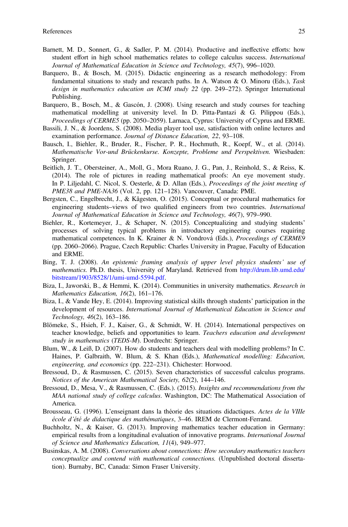- <span id="page-24-0"></span>Barnett, M. D., Sonnert, G., & Sadler, P. M. (2014). Productive and ineffective efforts: how student effort in high school mathematics relates to college calculus success. International Journal of Mathematical Education in Science and Technology, 45(7), 996–1020.
- Barquero, B., & Bosch, M. (2015). Didactic engineering as a research methodology: From fundamental situations to study and research paths. In A. Watson & O. Minoru (Eds.), Task design in mathematics education an ICMI study 22 (pp. 249-272). Springer International Publishing.
- Barquero, B., Bosch, M., & Gascón, J. (2008). Using research and study courses for teaching mathematical modelling at university level. In D. Pitta-Pantazi & G. Pilippou (Eds.), Proceedings of CERME5 (pp. 2050–2059). Larnaca, Cyprus: University of Cyprus and ERME.
- Bassili, J. N., & Joordens, S. (2008). Media player tool use, satisfaction with online lectures and examination performance. Journal of Distance Education, 22, 93-108.
- Bausch, I., Biehler, R., Bruder, R., Fischer, P. R., Hochmuth, R., Koepf, W., et al. (2014). Mathematische Vor-und Brückenkurse. Konzepte, Probleme und Perspektiven. Wiesbaden: Springer.
- Beitlich, J. T., Obersteiner, A., Moll, G., Mora Ruano, J. G., Pan, J., Reinhold, S., & Reiss, K. (2014). The role of pictures in reading mathematical proofs: An eye movement study. In P. Liljedahl, C. Nicol, S. Oesterle, & D. Allan (Eds.), *Proceedings of the joint meeting of* PME38 and PME-NA36 (Vol. 2, pp. 121-128). Vancouver, Canada: PME.
- Bergsten, C., Engelbrecht, J., & Kågesten, O. (2015). Conceptual or procedural mathematics for engineering students–views of two qualified engineers from two countries. *International* Journal of Mathematical Education in Science and Technology, 46(7), 979–990.
- Biehler, R., Kortemeyer, J., & Schaper, N. (2015). Conceptualizing and studying students' processes of solving typical problems in introductory engineering courses requiring mathematical competences. In K. Krainer & N. Vondrová (Eds.), Proceedings of CERME9 (pp. 2060–2066). Prague, Czech Republic: Charles University in Prague, Faculty of Education and ERME.
- Bing, T. J. (2008). An epistemic framing analysis of upper level physics students' use of mathematics. Ph.D. thesis, University of Maryland. Retrieved from [http://drum.lib.umd.edu/](http://drum.lib.umd.edu/bitstream/1903/8528/1/umi-umd-5594.pdf) [bitstream/1903/8528/1/umi-umd-5594.pdf.](http://drum.lib.umd.edu/bitstream/1903/8528/1/umi-umd-5594.pdf)
- Biza, I., Jaworski, B., & Hemmi, K. (2014). Communities in university mathematics. Research in Mathematics Education, 16(2), 161–176.
- Biza, I., & Vande Hey, E. (2014). Improving statistical skills through students' participation in the development of resources. International Journal of Mathematical Education in Science and Technology, 46(2), 163–186.
- Blömeke, S., Hsieh, F. J., Kaiser, G., & Schmidt, W. H. (2014). International perspectives on teacher knowledge, beliefs and opportunities to learn. Teachers education and development study in mathematics (TEDS-M). Dordrecht: Springer.
- Blum, W., & Leiß, D. (2007). How do students and teachers deal with modelling problems? In C. Haines, P. Galbraith, W. Blum, & S. Khan (Eds.), Mathematical modelling: Education, engineering, and economics (pp. 222–231). Chichester: Horwood.
- Bressoud, D., & Rasmussen, C. (2015). Seven characteristics of successful calculus programs. Notices of the American Mathematical Society, 62(2), 144–146.
- Bressoud, D., Mesa, V., & Rasmussen, C. (Eds.). (2015). Insights and recommendations from the MAA national study of college calculus. Washington, DC: The Mathematical Association of America.
- Brousseau, G. (1996). L'enseignant dans la théorie des situations didactiques. Actes de la VIIIe école d'été de didactique des mathématiques, 3–46. IREM de Clermont-Ferrand.
- Buchholtz, N., & Kaiser, G. (2013). Improving mathematics teacher education in Germany: empirical results from a longitudinal evaluation of innovative programs. International Journal of Science and Mathematics Education, 11(4), 949–977.
- Businskas, A. M. (2008). Conversations about connections: How secondary mathematics teachers conceptualize and contend with mathematical connections. (Unpublished doctoral dissertation). Burnaby, BC, Canada: Simon Fraser University.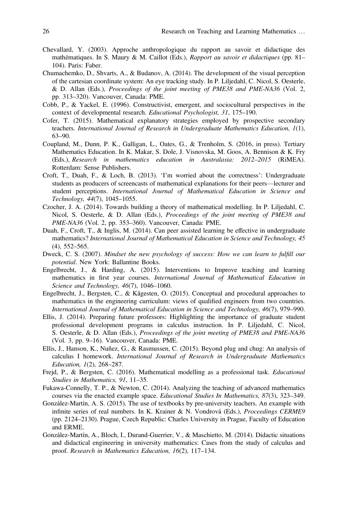- <span id="page-25-0"></span>Chevallard, Y. (2003). Approche anthropologique du rapport au savoir et didactique des mathématiques. In S. Maury & M. Caillot (Eds.), Rapport au savoir et didactiques (pp. 81– 104). Paris: Faber.
- Chumachemko, D., Shvarts, A., & Budanov, A. (2014). The development of the visual perception of the cartesian coordinate system: An eye tracking study. In P. Liljedahl, C. Nicol, S. Oesterle, & D. Allan (Eds.), Proceedings of the joint meeting of PME38 and PME-NA36 (Vol. 2, pp. 313–320). Vancouver, Canada: PME.
- Cobb, P., & Yackel, E. (1996). Constructivist, emergent, and sociocultural perspectives in the context of developmental research. Educational Psychologist, 31, 175–190.
- Cofer, T. (2015). Mathematical explanatory strategies employed by prospective secondary teachers. International Journal of Research in Undergraduate Mathematics Education, 1(1), 63–90.
- Coupland, M., Dunn, P. K., Galligan, L., Oates, G., & Trenholm, S. (2016, in press). Tertiary Mathematics Education. In K. Makar, S. Dole, J. Visnovska, M. Goos, A. Bennison & K. Fry (Eds.), Research in mathematics education in Australasia: 2012–2015 (RiMEA). Rotterdam: Sense Publishers.
- Croft, T., Duah, F., & Loch, B. (2013). 'I'm worried about the correctness': Undergraduate students as producers of screencasts of mathematical explanations for their peers—lecturer and student perceptions. International Journal of Mathematical Education in Science and Technology, 44(7), 1045–1055.
- Czocher, J. A. (2014). Towards building a theory of mathematical modelling. In P. Liljedahl, C. Nicol, S. Oesterle, & D. Allan (Eds.), Proceedings of the joint meeting of PME38 and PME-NA36 (Vol. 2, pp. 353–360). Vancouver, Canada: PME.
- Duah, F., Croft, T., & Inglis, M. (2014). Can peer assisted learning be effective in undergraduate mathematics? International Journal of Mathematical Education in Science and Technology, 45 (4), 552–565.
- Dweck, C. S. (2007). Mindset the new psychology of success: How we can learn to fulfill our potential. New York: Ballantine Books.
- Engelbrecht, J., & Harding, A. (2015). Interventions to Improve teaching and learning mathematics in first year courses. International Journal of Mathematical Education in Science and Technology, 46(7), 1046-1060.
- Engelbrecht, J., Bergsten, C., & Kågesten, O. (2015). Conceptual and procedural approaches to mathematics in the engineering curriculum: views of qualified engineers from two countries. International Journal of Mathematical Education in Science and Technology, 46(7), 979–990.
- Ellis, J. (2014). Preparing future professors: Highlighting the importance of graduate student professional development programs in calculus instruction. In P. Liljedahl, C. Nicol, S. Oesterle, & D. Allan (Eds.), Proceedings of the joint meeting of PME38 and PME-NA36 (Vol. 3, pp. 9–16). Vancouver, Canada: PME.
- Ellis, J., Hanson, K., Nuñez, G., & Rasmussen, C. (2015). Beyond plug and chug: An analysis of calculus I homework. International Journal of Research in Undergraduate Mathematics Education, 1(2), 268–287.
- Frejd, P., & Bergsten, C. (2016). Mathematical modelling as a professional task. Educational Studies in Mathematics, 91, 11–35.
- Fukawa-Connelly, T. P., & Newton, C. (2014). Analyzing the teaching of advanced mathematics courses via the enacted example space. Educational Studies In Mathematics, 87(3), 323–349.
- González-Martín, A. S. (2015). The use of textbooks by pre-university teachers. An example with infinite series of real numbers. In K. Krainer & N. Vondrová (Eds.), Proceedings CERME9 (pp. 2124–2130). Prague, Czech Republic: Charles University in Prague, Faculty of Education and ERME.
- González-Martín, A., Bloch, I., Durand-Guerrier, V., & Maschietto, M. (2014). Didactic situations and didactical engineering in university mathematics: Cases from the study of calculus and proof. Research in Mathematics Education, 16(2), 117–134.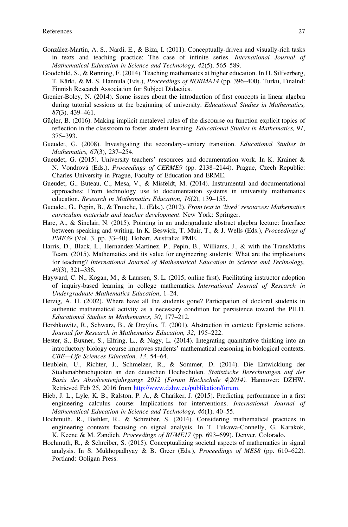- <span id="page-26-0"></span>González-Martín, A. S., Nardi, E., & Biza, I. (2011). Conceptually-driven and visually-rich tasks in texts and teaching practice: The case of infinite series. International Journal of Mathematical Education in Science and Technology, 42(5), 565–589.
- Goodchild, S., & Rønning, F. (2014). Teaching mathematics at higher education. In H. Silfverberg, T. Kärki, & M. S. Hannula (Eds.), Proceedings of NORMA14 (pp. 396–400). Turku, Finalnd: Finnish Research Association for Subject Didactics.
- Grenier-Boley, N. (2014). Some issues about the introduction of first concepts in linear algebra during tutorial sessions at the beginning of university. Educational Studies in Mathematics, 87(3), 439–461.
- Güçler, B. (2016). Making implicit metalevel rules of the discourse on function explicit topics of reflection in the classroom to foster student learning. Educational Studies in Mathematics, 91, 375–393.
- Gueudet, G. (2008). Investigating the secondary–tertiary transition. Educational Studies in Mathematics, 67(3), 237–254.
- Gueudet, G. (2015). University teachers' resources and documentation work. In K. Krainer & N. Vondrová (Eds.), Proceedings of CERME9 (pp. 2138–2144). Prague, Czech Republic: Charles University in Prague, Faculty of Education and ERME.
- Gueudet, G., Buteau, C., Mesa, V., & Misfeldt, M. (2014). Instrumental and documentational approaches: From technology use to documentation systems in university mathematics education. Research in Mathematics Education, 16(2), 139-155.
- Gueudet, G., Pepin, B., & Trouche, L. (Eds.). (2012). From text to 'lived' resources: Mathematics curriculum materials and teacher development. New York: Springer.
- Hare, A., & Sinclair, N. (2015). Pointing in an undergraduate abstract algebra lecture: Interface between speaking and writing. In K. Beswick, T. Muir, T., & J. Wells (Eds.), Proceedings of PME39 (Vol. 3, pp. 33–40). Hobart, Australia: PME.
- Harris, D., Black, L., Hernandez-Martinez, P., Pepin, B., Williams, J., & with the TransMaths Team. (2015). Mathematics and its value for engineering students: What are the implications for teaching? International Journal of Mathematical Education in Science and Technology, 46(3), 321–336.
- Hayward, C. N., Kogan, M., & Laursen, S. L. (2015, online first). Facilitating instructor adoption of inquiry-based learning in college mathematics. International Journal of Research in Undergraduate Mathematics Education, 1–24.
- Herzig, A. H. (2002). Where have all the students gone? Participation of doctoral students in authentic mathematical activity as a necessary condition for persistence toward the PH.D. Educational Studies in Mathematics, 50, 177–212.
- Hershkowitz, R., Schwarz, B., & Dreyfus, T. (2001). Abstraction in context: Epistemic actions. Journal for Research in Mathematics Education, 32, 195–222.
- Hester, S., Buxner, S., Elfring, L., & Nagy, L. (2014). Integrating quantitative thinking into an introductory biology course improves students' mathematical reasoning in biological contexts. CBE—Life Sciences Education, 13, 54–64.
- Heublein, U., Richter, J., Schmelzer, R., & Sommer, D. (2014). Die Entwicklung der Studienabbruchquoten an den deutschen Hochschulen. Statistische Berechnungen auf der Basis des Absolventenjahrgangs 2012 (Forum Hochschule 4|2014). Hannover: DZHW. Retrieved Feb 25, 2016 from [http://www.dzhw.eu/publikation/forum.](http://www.dzhw.eu/publikation/forum)
- Hieb, J. L., Lyle, K. B., Ralston, P. A., & Chariker, J. (2015). Predicting performance in a first engineering calculus course: Implications for interventions. International Journal of Mathematical Education in Science and Technology, 46(1), 40–55.
- Hochmuth, R., Biehler, R., & Schreiber, S. (2014). Considering mathematical practices in engineering contexts focusing on signal analysis. In T. Fukawa-Connelly, G. Karakok, K. Keene & M. Zandieh. Proceedings of RUME17 (pp. 693-699). Denver, Colorado.
- Hochmuth, R., & Schreiber, S. (2015). Conceptualizing societal aspects of mathematics in signal analysis. In S. Mukhopadhyay & B. Greer (Eds.), Proceedings of MES8 (pp. 610–622). Portland: Ooligan Press.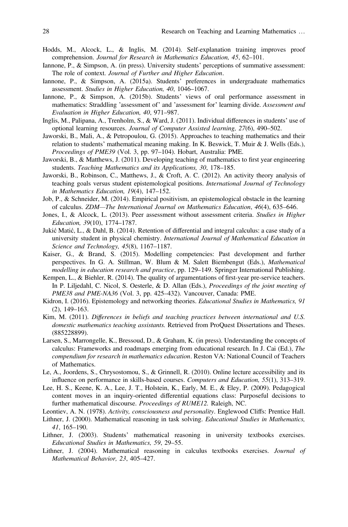- <span id="page-27-0"></span>Hodds, M., Alcock, L., & Inglis, M. (2014). Self-explanation training improves proof comprehension. Journal for Research in Mathematics Education, 45, 62–101.
- Iannone, P., & Simpson, A. (in press). University students' perceptions of summative assessment: The role of context. Journal of Further and Higher Education.
- Iannone, P., & Simpson, A. (2015a). Students' preferences in undergraduate mathematics assessment. Studies in Higher Education, 40, 1046–1067.
- Iannone, P., & Simpson, A. (2015b). Students' views of oral performance assessment in mathematics: Straddling 'assessment of' and 'assessment for' learning divide. Assessment and Evaluation in Higher Education, 40, 971–987.
- Inglis, M., Palipana, A., Trenholm, S., & Ward, J. (2011). Individual differences in students' use of optional learning resources. Journal of Computer Assisted learning, 27(6), 490–502.
- Jaworski, B., Mali, A., & Petropoulou, G. (2015). Approaches to teaching mathematics and their relation to students' mathematical meaning making. In K. Beswick, T. Muir & J. Wells (Eds.), Proceedings of PME39 (Vol. 3, pp. 97–104). Hobart, Australia: PME.
- Jaworski, B., & Matthews, J. (2011). Developing teaching of mathematics to first year engineering students. Teaching Mathematics and its Applications, 30, 178–185.
- Jaworski, B., Robinson, C., Matthews, J., & Croft, A. C. (2012). An activity theory analysis of teaching goals versus student epistemological positions. International Journal of Technology in Mathematics Education, 19(4), 147–152.
- Job, P., & Schneider, M. (2014). Empirical positivism, an epistemological obstacle in the learning of calculus. ZDM—The International Journal on Mathematics Education, 46(4), 635–646.
- Jones, I., & Alcock, L. (2013). Peer assessment without assessment criteria. Studies in Higher Education, 39(10), 1774–1787.
- Jukić Matić, L., & Dahl, B. (2014). Retention of differential and integral calculus: a case study of a university student in physical chemistry. International Journal of Mathematical Education in Science and Technology, 45(8), 1167-1187.
- Kaiser, G., & Brand, S. (2015). Modelling competencies: Past development and further perspectives. In G. A. Stillman, W. Blum & M. Salett Biembengut (Eds.), Mathematical modelling in education research and practice, pp. 129–149. Springer International Publishing.
- Kempen, L., & Biehler, R. (2014). The quality of argumentations of first-year pre-service teachers. In P. Liljedahl, C. Nicol, S. Oesterle, & D. Allan (Eds.), Proceedings of the joint meeting of PME38 and PME-NA36 (Vol. 3, pp. 425–432). Vancouver, Canada: PME.
- Kidron, I. (2016). Epistemology and networking theories. Educational Studies in Mathematics, 91 (2), 149–163.
- Kim, M. (2011). Differences in beliefs and teaching practices between international and U.S. domestic mathematics teaching assistants. Retrieved from ProQuest Dissertations and Theses. (885228899).
- Larsen, S., Marrongelle, K., Bressoud, D., & Graham, K. (in press). Understanding the concepts of calculus: Frameworks and roadmaps emerging from educational research. In J. Cai (Ed.), The compendium for research in mathematics education. Reston VA: National Council of Teachers of Mathematics.
- Le, A., Joordens, S., Chrysostomou, S., & Grinnell, R. (2010). Online lecture accessibility and its influence on performance in skills-based courses. Computers and Education, 55(1), 313–319.
- Lee, H. S., Keene, K. A., Lee, J. T., Holstein, K., Early, M. E., & Eley, P. (2009). Pedagogical content moves in an inquiry-oriented differential equations class: Purposeful decisions to further mathematical discourse. Proceedings of RUME12. Raleigh, NC.
- Leontiev, A. N. (1978). Activity, consciousness and personality. Englewood Cliffs: Prentice Hall.
- Lithner, J. (2000). Mathematical reasoning in task solving. Educational Studies in Mathematics, 41, 165–190.
- Lithner, J. (2003). Students' mathematical reasoning in university textbooks exercises. Educational Studies in Mathematics, 59, 29–55.
- Lithner, J. (2004). Mathematical reasoning in calculus textbooks exercises. Journal of Mathematical Behavior, 23, 405–427.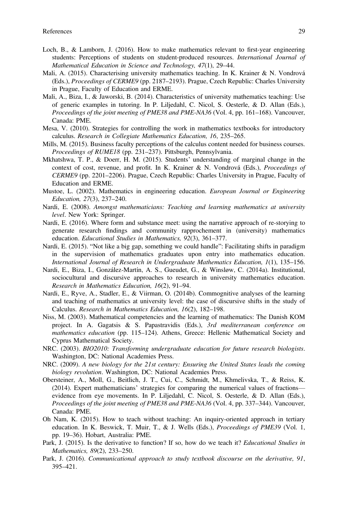- <span id="page-28-0"></span>Loch, B., & Lamborn, J. (2016). How to make mathematics relevant to first-year engineering students: Perceptions of students on student-produced resources. International Journal of Mathematical Education in Science and Technology, 47(1), 29–44.
- Mali, A. (2015). Characterising university mathematics teaching. In K. Krainer & N. Vondrová (Eds.), Proceedings of CERME9 (pp. 2187–2193). Prague, Czech Republic: Charles University in Prague, Faculty of Education and ERME.
- Mali, A., Biza, I., & Jaworski, B. (2014). Characteristics of university mathematics teaching: Use of generic examples in tutoring. In P. Liljedahl, C. Nicol, S. Oesterle, & D. Allan (Eds.), Proceedings of the joint meeting of PME38 and PME-NA36 (Vol. 4, pp. 161–168). Vancouver, Canada: PME.
- Mesa, V. (2010). Strategies for controlling the work in mathematics textbooks for introductory calculus. Research in Collegiate Mathematics Education, 16, 235–265.
- Mills, M. (2015). Business faculty perceptions of the calculus content needed for business courses. Proceedings of RUME18 (pp. 231-237). Pittsburgh, Pennsylvania.
- Mkhatshwa, T. P., & Doerr, H. M. (2015). Students' understanding of marginal change in the context of cost, revenue, and profit. In K. Krainer & N. Vondrová (Eds.), Proceedings of CERME9 (pp. 2201–2206). Prague, Czech Republic: Charles University in Prague, Faculty of Education and ERME.
- Mustoe, L. (2002). Mathematics in engineering education. European Journal or Engineering Education, 27(3), 237–240.
- Nardi, E. (2008). Amongst mathematicians: Teaching and learning mathematics at university level. New York: Springer.
- Nardi, E. (2016). Where form and substance meet: using the narrative approach of re-storying to generate research findings and community rapprochement in (university) mathematics education. Educational Studies in Mathematics, 92(3), 361–377.
- Nardi, E. (2015). "Not like a big gap, something we could handle": Facilitating shifts in paradigm in the supervision of mathematics graduates upon entry into mathematics education. International Journal of Research in Undergraduate Mathematics Education, 1(1), 135–156.
- Nardi, E., Biza, I., González-Martín, A. S., Gueudet, G., & Winsløw, C. (2014a). Institutional, sociocultural and discursive approaches to research in university mathematics education. Research in Mathematics Education, 16(2), 91–94.
- Nardi, E., Ryve, A., Stadler, E., & Viirman, O. (2014b). Commognitive analyses of the learning and teaching of mathematics at university level: the case of discursive shifts in the study of Calculus. Research in Mathematics Education, 16(2), 182–198.
- Niss, M. (2003). Mathematical competencies and the learning of mathematics: The Danish KOM project. In A. Gagatsis & S. Papastravidis (Eds.), 3rd mediterranean conference on mathematics education (pp. 115–124). Athens, Greece: Hellenic Mathematical Society and Cyprus Mathematical Society.
- NRC. (2003). BIO2010: Transforming undergraduate education for future research biologists. Washington, DC: National Academies Press.
- NRC. (2009). A new biology for the 21st century: Ensuring the United States leads the coming biology revolution. Washington, DC: National Academies Press.
- Obersteiner, A., Moll, G., Beitlich, J. T., Cui, C., Schmidt, M., Khmelivska, T., & Reiss, K. (2014). Expert mathematicians' strategies for comparing the numerical values of fractions evidence from eye movements. In P. Liljedahl, C. Nicol, S. Oesterle, & D. Allan (Eds.), Proceedings of the joint meeting of PME38 and PME-NA36 (Vol. 4, pp. 337–344). Vancouver, Canada: PME.
- Oh Nam, K. (2015). How to teach without teaching: An inquiry-oriented approach in tertiary education. In K. Beswick, T. Muir, T., & J. Wells (Eds.), Proceedings of PME39 (Vol. 1, pp. 19–36). Hobart, Australia: PME.
- Park, J. (2015). Is the derivative to function? If so, how do we teach it? *Educational Studies in* Mathematics, 89(2), 233–250.
- Park, J. (2016). Communicational approach to study textbook discourse on the derivative, 91, 395–421.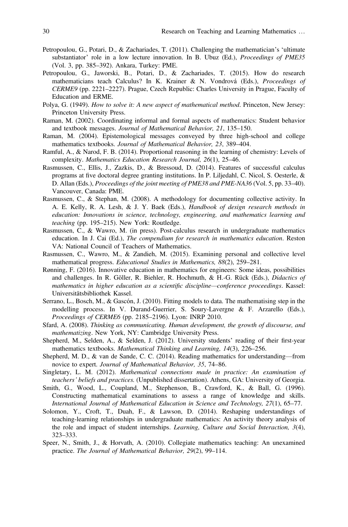- <span id="page-29-0"></span>Petropoulou, G., Potari, D., & Zachariades, T. (2011). Challenging the mathematician's 'ultimate substantiator' role in a low lecture innovation. In B. Ubuz (Ed.), *Proceedings of PME35* (Vol. 3, pp. 385–392). Ankara, Turkey: PME.
- Petropoulou, G., Jaworski, B., Potari, D., & Zachariades, T. (2015). How do research mathematicians teach Calculus? In K. Krainer & N. Vondrová (Eds.), Proceedings of CERME9 (pp. 2221–2227). Prague, Czech Republic: Charles University in Prague, Faculty of Education and ERME.
- Polya, G. (1949). How to solve it: A new aspect of mathematical method. Princeton, New Jersey: Princeton University Press.
- Raman, M. (2002). Coordinating informal and formal aspects of mathematics: Student behavior and textbook messages. Journal of Mathematical Behavior, 21, 135–150.
- Raman, M. (2004). Epistemological messages conveyed by three high-school and college mathematics textbooks. Journal of Mathematical Behavior, 23, 389–404.
- Ramful, A., & Narod, F. B. (2014). Proportional reasoning in the learning of chemistry: Levels of complexity. Mathematics Education Research Journal, 26(1), 25–46.
- Rasmussen, C., Ellis, J., Zazkis, D., & Bressoud, D. (2014). Features of successful calculus programs at five doctoral degree granting institutions. In P. Liljedahl, C. Nicol, S. Oesterle, & D. Allan (Eds.), *Proceedings of the joint meeting of PME38 and PME-NA36* (Vol. 5, pp. 33–40). Vancouver, Canada: PME.
- Rasmussen, C., & Stephan, M. (2008). A methodology for documenting collective activity. In A. E. Kelly, R. A. Lesh, & J. Y. Baek (Eds.), Handbook of design research methods in education: Innovations in science, technology, engineering, and mathematics learning and teaching (pp. 195–215). New York: Routledge.
- Rasmussen, C., & Wawro, M. (in press). Post-calculus research in undergraduate mathematics education. In J. Cai (Ed.), The compendium for research in mathematics education. Reston VA: National Council of Teachers of Mathematics.
- Rasmussen, C., Wawro, M., & Zandieh, M. (2015). Examining personal and collective level mathematical progress. Educational Studies in Mathematics, 88(2), 259–281.
- Rønning, F. (2016). Innovative education in mathematics for engineers: Some ideas, possibilities and challenges. In R. Göller, R. Biehler, R. Hochmuth, & H.-G. Rück (Eds.), Didactics of mathematics in higher education as a scientific discipline—conference proceedings. Kassel: Universitätsbibliothek Kassel.
- Serrano, L., Bosch, M., & Gascón, J. (2010). Fitting models to data. The mathematising step in the modelling process. In V. Durand-Guerrier, S. Soury-Lavergne & F. Arzarello (Eds.), Proceedings of CERME6 (pp. 2185-2196). Lyon: INRP 2010.
- Sfard, A. (2008). Thinking as communicating. Human development, the growth of discourse, and mathematizing. New York, NY: Cambridge University Press.
- Shepherd, M., Selden, A., & Selden, J. (2012). University students' reading of their first-year mathematics textbooks. Mathematical Thinking and Learning, 14(3), 226–256.
- Shepherd, M. D., & van de Sande, C. C. (2014). Reading mathematics for understanding—from novice to expert. Journal of Mathematical Behavior, 35, 74–86.
- Singletary, L. M. (2012). Mathematical connections made in practice: An examination of teachers' beliefs and practices. (Unpublished dissertation). Athens, GA: University of Georgia.
- Smith, G., Wood, L., Coupland, M., Stephenson, B., Crawford, K., & Ball, G. (1996). Constructing mathematical examinations to assess a range of knowledge and skills. International Journal of Mathematical Education in Science and Technology, 27(1), 65–77.
- Solomon, Y., Croft, T., Duah, F., & Lawson, D. (2014). Reshaping understandings of teaching-learning relationships in undergraduate mathematics: An activity theory analysis of the role and impact of student internships. Learning, Culture and Social Interaction, 3(4), 323–333.
- Speer, N., Smith, J., & Horvath, A. (2010). Collegiate mathematics teaching: An unexamined practice. The Journal of Mathematical Behavior, 29(2), 99–114.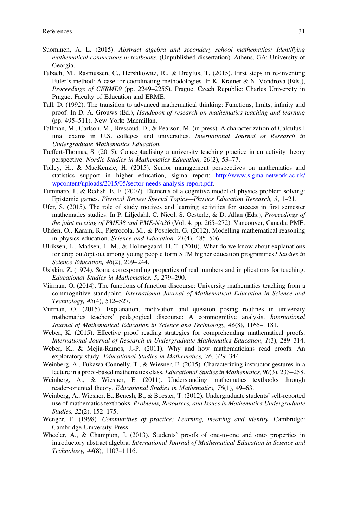- <span id="page-30-0"></span>Suominen, A. L. (2015). Abstract algebra and secondary school mathematics: Identifying mathematical connections in textbooks. (Unpublished dissertation). Athens, GA: University of Georgia.
- Tabach, M., Rasmussen, C., Hershkowitz, R., & Dreyfus, T. (2015). First steps in re-inventing Euler's method: A case for coordinating methodologies. In K. Krainer & N. Vondrová (Eds.), Proceedings of CERME9 (pp. 2249-2255). Prague, Czech Republic: Charles University in Prague, Faculty of Education and ERME.
- Tall, D. (1992). The transition to advanced mathematical thinking: Functions, limits, infinity and proof. In D. A. Grouws (Ed.), Handbook of research on mathematics teaching and learning (pp. 495–511). New York: Macmillan.
- Tallman, M., Carlson, M., Bressoud, D., & Pearson, M. (in press). A characterization of Calculus I final exams in U.S. colleges and universities. International Journal of Research in Undergraduate Mathematics Education.
- Treffert-Thomas, S. (2015). Conceptualising a university teaching practice in an activity theory perspective. Nordic Studies in Mathematics Education, 20(2), 53–77.
- Tolley, H., & MacKenzie, H. (2015). Senior management perspectives on mathematics and statistics support in higher education, sigma report: [http://www.sigma-network.ac.uk/](http://www.sigma-network.ac.uk/wpcontent/uploads/2015/05/sector-needs-analysis-report.pdf) [wpcontent/uploads/2015/05/sector-needs-analysis-report.pdf](http://www.sigma-network.ac.uk/wpcontent/uploads/2015/05/sector-needs-analysis-report.pdf).
- Tuminaro, J., & Redish, E. F. (2007). Elements of a cognitive model of physics problem solving: Epistemic games. Physical Review Special Topics—Physics Education Research, 3, 1–21.
- Ufer, S. (2015). The role of study motives and learning activities for success in first semester mathematics studies. In P. Liljedahl, C. Nicol, S. Oesterle, & D. Allan (Eds.), Proceedings of the joint meeting of PME38 and PME-NA36 (Vol. 4, pp. 265–272). Vancouver, Canada: PME.
- Uhden, O., Karam, R., Pietrocola, M., & Pospiech, G. (2012). Modelling mathematical reasoning in physics education. Science and Education, 21(4), 485–506.
- Ulriksen, L., Madsen, L. M., & Holmegaard, H. T. (2010). What do we know about explanations for drop out/opt out among young people form STM higher education programmes? Studies in Science Education, 46(2), 209–244.
- Usiskin, Z. (1974). Some corresponding properties of real numbers and implications for teaching. Educational Studies in Mathematics, 5, 279–290.
- Viirman, O. (2014). The functions of function discourse: University mathematics teaching from a commognitive standpoint. International Journal of Mathematical Education in Science and Technology, 45(4), 512–527.
- Viirman, O. (2015). Explanation, motivation and question posing routines in university mathematics teachers' pedagogical discourse: A commognitive analysis. *International* Journal of Mathematical Education in Science and Technology, 46(8), 1165–1181.
- Weber, K. (2015). Effective proof reading strategies for comprehending mathematical proofs. International Journal of Research in Undergraduate Mathematics Education, 1(3), 289–314.
- Weber, K., & Mejia-Ramos, J.-P. (2011). Why and how mathematicians read proofs: An exploratory study. Educational Studies in Mathematics, 76, 329–344.
- Weinberg, A., Fukawa-Connelly, T., & Wiesner, E. (2015). Characterizing instructor gestures in a lecture in a proof-based mathematics class. *Educational Studies in Mathematics*, 90(3), 233–258.
- Weinberg, A., & Wiesner, E. (2011). Understanding mathematics textbooks through reader-oriented theory. Educational Studies in Mathematics, 76(1), 49–63.
- Weinberg, A., Wiesner, E., Benesh, B., & Boester, T. (2012). Undergraduate students' self-reported use of mathematics textbooks. Problems, Resources, and Issues in Mathematics Undergraduate Studies, 22(2), 152–175.
- Wenger, E. (1998). Communities of practice: Learning, meaning and identity. Cambridge: Cambridge University Press.
- Wheeler, A., & Champion, J. (2013). Students' proofs of one-to-one and onto properties in introductory abstract algebra. International Journal of Mathematical Education in Science and Technology, 44(8), 1107–1116.